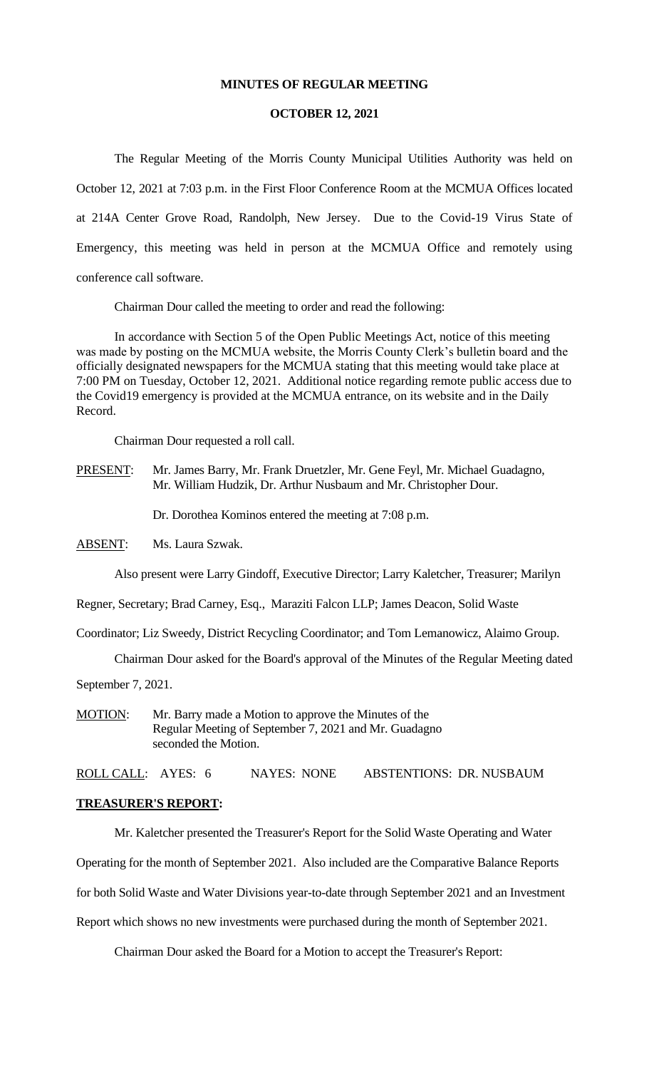#### **MINUTES OF REGULAR MEETING**

#### **OCTOBER 12, 2021**

The Regular Meeting of the Morris County Municipal Utilities Authority was held on October 12, 2021 at 7:03 p.m. in the First Floor Conference Room at the MCMUA Offices located at 214A Center Grove Road, Randolph, New Jersey. Due to the Covid-19 Virus State of Emergency, this meeting was held in person at the MCMUA Office and remotely using conference call software.

Chairman Dour called the meeting to order and read the following:

In accordance with Section 5 of the Open Public Meetings Act, notice of this meeting was made by posting on the MCMUA website, the Morris County Clerk's bulletin board and the officially designated newspapers for the MCMUA stating that this meeting would take place at 7:00 PM on Tuesday, October 12, 2021. Additional notice regarding remote public access due to the Covid19 emergency is provided at the MCMUA entrance, on its website and in the Daily Record.

Chairman Dour requested a roll call.

PRESENT: Mr. James Barry, Mr. Frank Druetzler, Mr. Gene Feyl, Mr. Michael Guadagno, Mr. William Hudzik, Dr. Arthur Nusbaum and Mr. Christopher Dour.

Dr. Dorothea Kominos entered the meeting at 7:08 p.m.

ABSENT: Ms. Laura Szwak.

Also present were Larry Gindoff, Executive Director; Larry Kaletcher, Treasurer; Marilyn

Regner, Secretary; Brad Carney, Esq., Maraziti Falcon LLP; James Deacon, Solid Waste

Coordinator; Liz Sweedy, District Recycling Coordinator; and Tom Lemanowicz, Alaimo Group.

Chairman Dour asked for the Board's approval of the Minutes of the Regular Meeting dated

September 7, 2021.

MOTION: Mr. Barry made a Motion to approve the Minutes of the Regular Meeting of September 7, 2021 and Mr. Guadagno seconded the Motion.

ROLL CALL: AYES: 6 NAYES: NONE ABSTENTIONS: DR. NUSBAUM

#### **TREASURER'S REPORT:**

Mr. Kaletcher presented the Treasurer's Report for the Solid Waste Operating and Water

Operating for the month of September 2021. Also included are the Comparative Balance Reports

for both Solid Waste and Water Divisions year-to-date through September 2021 and an Investment

Report which shows no new investments were purchased during the month of September 2021.

Chairman Dour asked the Board for a Motion to accept the Treasurer's Report: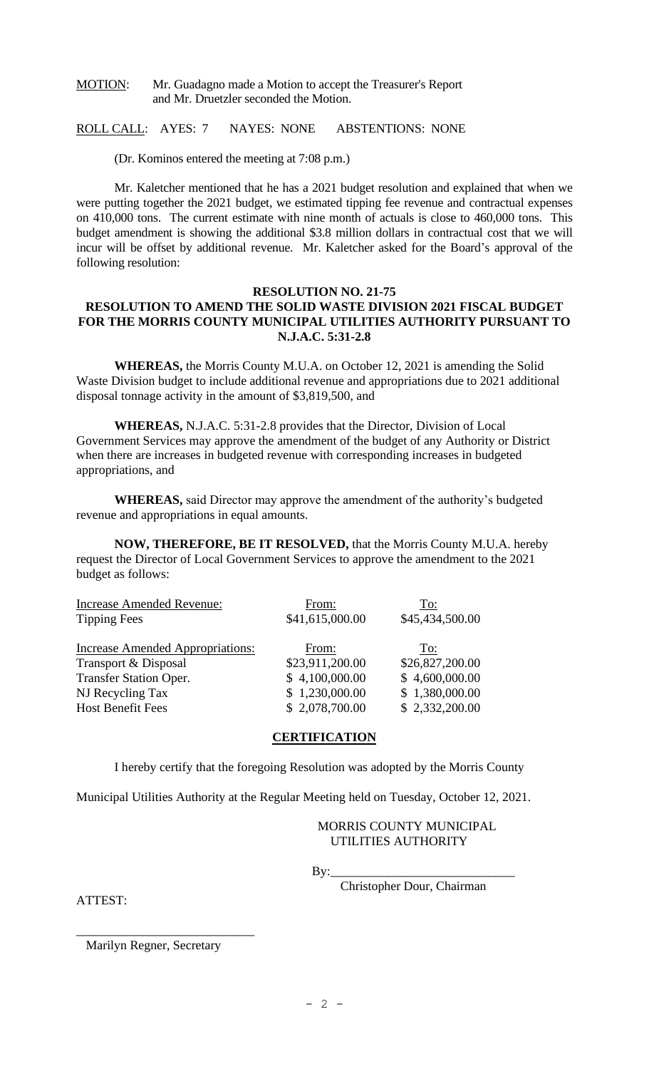#### MOTION: Mr. Guadagno made a Motion to accept the Treasurer's Report and Mr. Druetzler seconded the Motion.

ROLL CALL: AYES: 7 NAYES: NONE ABSTENTIONS: NONE

(Dr. Kominos entered the meeting at 7:08 p.m.)

Mr. Kaletcher mentioned that he has a 2021 budget resolution and explained that when we were putting together the 2021 budget, we estimated tipping fee revenue and contractual expenses on 410,000 tons. The current estimate with nine month of actuals is close to 460,000 tons. This budget amendment is showing the additional \$3.8 million dollars in contractual cost that we will incur will be offset by additional revenue. Mr. Kaletcher asked for the Board's approval of the following resolution:

# **RESOLUTION NO. 21-75 RESOLUTION TO AMEND THE SOLID WASTE DIVISION 2021 FISCAL BUDGET FOR THE MORRIS COUNTY MUNICIPAL UTILITIES AUTHORITY PURSUANT TO N.J.A.C. 5:31-2.8**

**WHEREAS,** the Morris County M.U.A. on October 12, 2021 is amending the Solid Waste Division budget to include additional revenue and appropriations due to 2021 additional disposal tonnage activity in the amount of \$3,819,500, and

**WHEREAS,** N.J.A.C. 5:31-2.8 provides that the Director, Division of Local Government Services may approve the amendment of the budget of any Authority or District when there are increases in budgeted revenue with corresponding increases in budgeted appropriations, and

**WHEREAS,** said Director may approve the amendment of the authority's budgeted revenue and appropriations in equal amounts.

**NOW, THEREFORE, BE IT RESOLVED,** that the Morris County M.U.A. hereby request the Director of Local Government Services to approve the amendment to the 2021 budget as follows:

| From:           | To:             |
|-----------------|-----------------|
| \$41,615,000.00 | \$45,434,500.00 |
|                 |                 |
|                 | To:             |
| \$23,911,200.00 | \$26,827,200.00 |
| \$4,100,000.00  | \$4,600,000.00  |
| \$1,230,000.00  | \$1,380,000.00  |
| \$2,078,700.00  | \$2,332,200.00  |
|                 | From:           |

## **CERTIFICATION**

I hereby certify that the foregoing Resolution was adopted by the Morris County

Municipal Utilities Authority at the Regular Meeting held on Tuesday, October 12, 2021.

#### MORRIS COUNTY MUNICIPAL UTILITIES AUTHORITY

By:\_\_\_\_\_\_\_\_\_\_\_\_\_\_\_\_\_\_\_\_\_\_\_\_\_\_\_\_\_

Christopher Dour, Chairman

ATTEST:

Marilyn Regner, Secretary

\_\_\_\_\_\_\_\_\_\_\_\_\_\_\_\_\_\_\_\_\_\_\_\_\_\_\_\_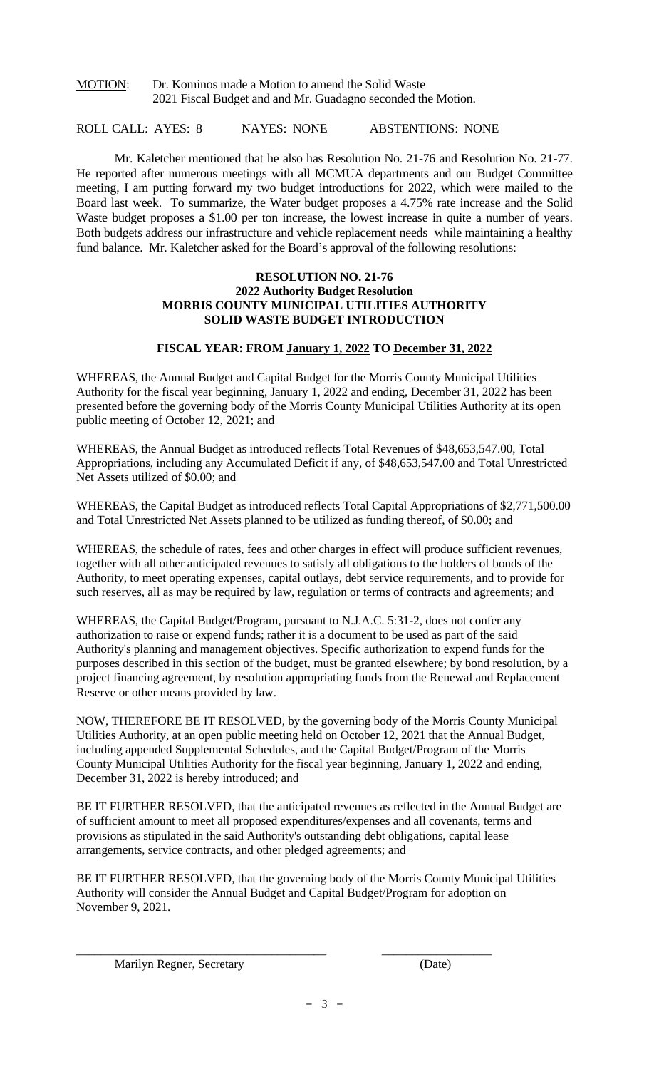# MOTION: Dr. Kominos made a Motion to amend the Solid Waste 2021 Fiscal Budget and and Mr. Guadagno seconded the Motion.

# ROLL CALL: AYES: 8 NAYES: NONE ABSTENTIONS: NONE

Mr. Kaletcher mentioned that he also has Resolution No. 21-76 and Resolution No. 21-77. He reported after numerous meetings with all MCMUA departments and our Budget Committee meeting, I am putting forward my two budget introductions for 2022, which were mailed to the Board last week. To summarize, the Water budget proposes a 4.75% rate increase and the Solid Waste budget proposes a \$1.00 per ton increase, the lowest increase in quite a number of years. Both budgets address our infrastructure and vehicle replacement needs while maintaining a healthy fund balance. Mr. Kaletcher asked for the Board's approval of the following resolutions:

#### **RESOLUTION NO. 21-76 2022 Authority Budget Resolution MORRIS COUNTY MUNICIPAL UTILITIES AUTHORITY SOLID WASTE BUDGET INTRODUCTION**

## **FISCAL YEAR: FROM January 1, 2022 TO December 31, 2022**

WHEREAS, the Annual Budget and Capital Budget for the Morris County Municipal Utilities Authority for the fiscal year beginning, January 1, 2022 and ending, December 31, 2022 has been presented before the governing body of the Morris County Municipal Utilities Authority at its open public meeting of October 12, 2021; and

WHEREAS, the Annual Budget as introduced reflects Total Revenues of \$48,653,547.00, Total Appropriations, including any Accumulated Deficit if any, of \$48,653,547.00 and Total Unrestricted Net Assets utilized of \$0.00; and

WHEREAS, the Capital Budget as introduced reflects Total Capital Appropriations of \$2,771,500.00 and Total Unrestricted Net Assets planned to be utilized as funding thereof, of \$0.00; and

WHEREAS, the schedule of rates, fees and other charges in effect will produce sufficient revenues, together with all other anticipated revenues to satisfy all obligations to the holders of bonds of the Authority, to meet operating expenses, capital outlays, debt service requirements, and to provide for such reserves, all as may be required by law, regulation or terms of contracts and agreements; and

WHEREAS, the Capital Budget/Program, pursuant to N.J.A.C. 5:31-2, does not confer any authorization to raise or expend funds; rather it is a document to be used as part of the said Authority's planning and management objectives. Specific authorization to expend funds for the purposes described in this section of the budget, must be granted elsewhere; by bond resolution, by a project financing agreement, by resolution appropriating funds from the Renewal and Replacement Reserve or other means provided by law.

NOW, THEREFORE BE IT RESOLVED, by the governing body of the Morris County Municipal Utilities Authority, at an open public meeting held on October 12, 2021 that the Annual Budget, including appended Supplemental Schedules, and the Capital Budget/Program of the Morris County Municipal Utilities Authority for the fiscal year beginning, January 1, 2022 and ending, December 31, 2022 is hereby introduced; and

BE IT FURTHER RESOLVED, that the anticipated revenues as reflected in the Annual Budget are of sufficient amount to meet all proposed expenditures/expenses and all covenants, terms and provisions as stipulated in the said Authority's outstanding debt obligations, capital lease arrangements, service contracts, and other pledged agreements; and

BE IT FURTHER RESOLVED, that the governing body of the Morris County Municipal Utilities Authority will consider the Annual Budget and Capital Budget/Program for adoption on November 9, 2021.

\_\_\_\_\_\_\_\_\_\_\_\_\_\_\_\_\_\_\_\_\_\_\_\_\_\_\_\_\_\_\_\_\_\_\_\_\_\_\_\_\_ \_\_\_\_\_\_\_\_\_\_\_\_\_\_\_\_\_\_

Marilyn Regner, Secretary (Date)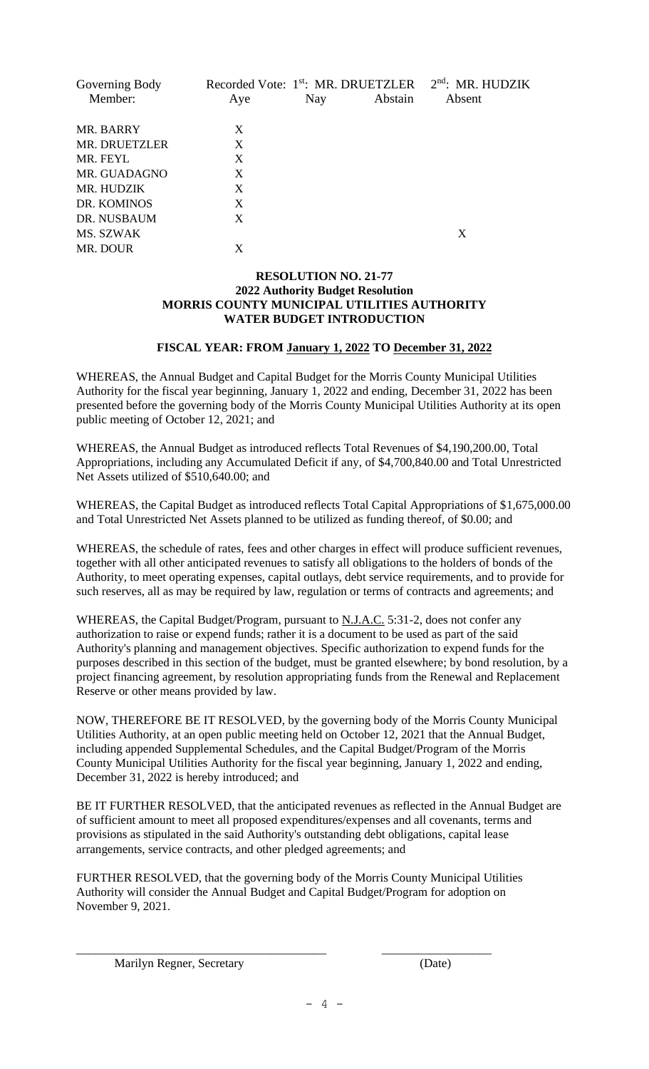| Governing Body<br>Member: | Aye | Nay | Recorded Vote: 1 <sup>st</sup> : MR. DRUETZLER<br>Abstain | $2nd$ : MR. HUDZIK<br>Absent |
|---------------------------|-----|-----|-----------------------------------------------------------|------------------------------|
| MR. BARRY                 | X   |     |                                                           |                              |
| MR. DRUETZLER             | X   |     |                                                           |                              |
| MR. FEYL                  | X   |     |                                                           |                              |
| MR. GUADAGNO              | X   |     |                                                           |                              |
| MR. HUDZIK                | X   |     |                                                           |                              |
| DR. KOMINOS               | X   |     |                                                           |                              |
| DR. NUSBAUM               | X   |     |                                                           |                              |
| MS. SZWAK                 |     |     |                                                           | X                            |
| MR. DOUR                  | X   |     |                                                           |                              |

#### **RESOLUTION NO. 21-77 2022 Authority Budget Resolution MORRIS COUNTY MUNICIPAL UTILITIES AUTHORITY WATER BUDGET INTRODUCTION**

# **FISCAL YEAR: FROM January 1, 2022 TO December 31, 2022**

WHEREAS, the Annual Budget and Capital Budget for the Morris County Municipal Utilities Authority for the fiscal year beginning, January 1, 2022 and ending, December 31, 2022 has been presented before the governing body of the Morris County Municipal Utilities Authority at its open public meeting of October 12, 2021; and

WHEREAS, the Annual Budget as introduced reflects Total Revenues of \$4,190,200.00, Total Appropriations, including any Accumulated Deficit if any, of \$4,700,840.00 and Total Unrestricted Net Assets utilized of \$510,640.00; and

WHEREAS, the Capital Budget as introduced reflects Total Capital Appropriations of \$1,675,000.00 and Total Unrestricted Net Assets planned to be utilized as funding thereof, of \$0.00; and

WHEREAS, the schedule of rates, fees and other charges in effect will produce sufficient revenues, together with all other anticipated revenues to satisfy all obligations to the holders of bonds of the Authority, to meet operating expenses, capital outlays, debt service requirements, and to provide for such reserves, all as may be required by law, regulation or terms of contracts and agreements; and

WHEREAS, the Capital Budget/Program, pursuant to N.J.A.C. 5:31-2, does not confer any authorization to raise or expend funds; rather it is a document to be used as part of the said Authority's planning and management objectives. Specific authorization to expend funds for the purposes described in this section of the budget, must be granted elsewhere; by bond resolution, by a project financing agreement, by resolution appropriating funds from the Renewal and Replacement Reserve or other means provided by law.

NOW, THEREFORE BE IT RESOLVED, by the governing body of the Morris County Municipal Utilities Authority, at an open public meeting held on October 12, 2021 that the Annual Budget, including appended Supplemental Schedules, and the Capital Budget/Program of the Morris County Municipal Utilities Authority for the fiscal year beginning, January 1, 2022 and ending, December 31, 2022 is hereby introduced; and

BE IT FURTHER RESOLVED, that the anticipated revenues as reflected in the Annual Budget are of sufficient amount to meet all proposed expenditures/expenses and all covenants, terms and provisions as stipulated in the said Authority's outstanding debt obligations, capital lease arrangements, service contracts, and other pledged agreements; and

FURTHER RESOLVED, that the governing body of the Morris County Municipal Utilities Authority will consider the Annual Budget and Capital Budget/Program for adoption on November 9, 2021.

\_\_\_\_\_\_\_\_\_\_\_\_\_\_\_\_\_\_\_\_\_\_\_\_\_\_\_\_\_\_\_\_\_\_\_\_\_\_\_\_\_ \_\_\_\_\_\_\_\_\_\_\_\_\_\_\_\_\_\_

Marilyn Regner, Secretary (Date)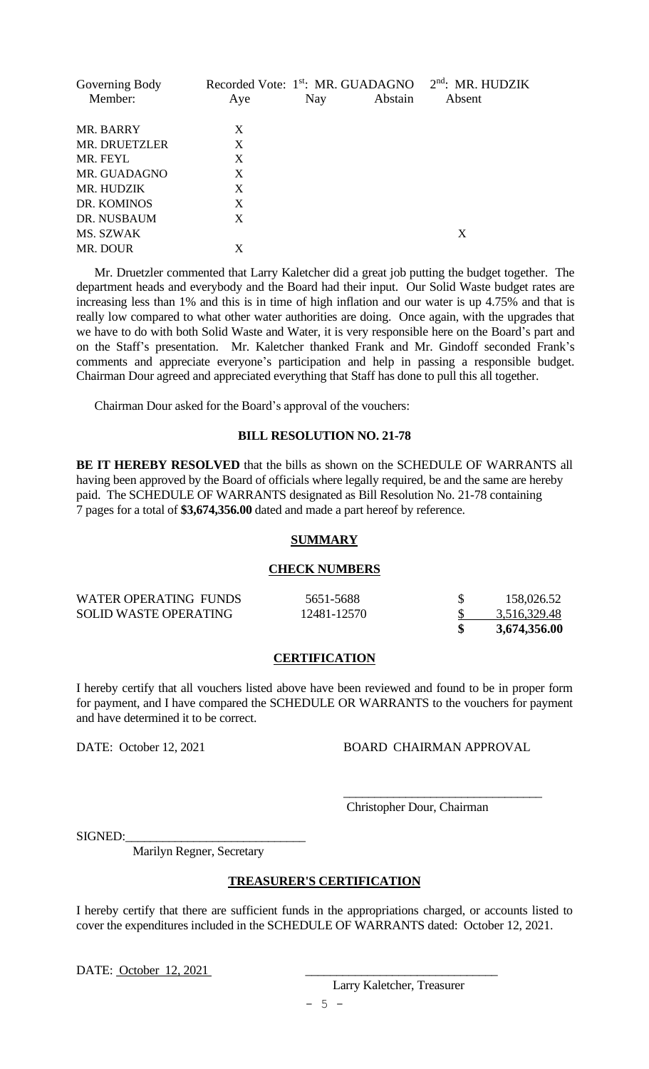| Governing Body | Recorded Vote: 1 <sup>st</sup> : MR. GUADAGNO |     |         | $2nd$ : MR. HUDZIK |
|----------------|-----------------------------------------------|-----|---------|--------------------|
| Member:        | Aye                                           | Nay | Abstain | Absent             |
| MR. BARRY      | X                                             |     |         |                    |
| MR. DRUETZLER  | X                                             |     |         |                    |
| MR. FEYL       | X                                             |     |         |                    |
| MR. GUADAGNO   | X                                             |     |         |                    |
| MR. HUDZIK     | X                                             |     |         |                    |
| DR. KOMINOS    | X                                             |     |         |                    |
| DR. NUSBAUM    | X                                             |     |         |                    |
| MS. SZWAK      |                                               |     |         | X                  |
| MR. DOUR       | X                                             |     |         |                    |

 Mr. Druetzler commented that Larry Kaletcher did a great job putting the budget together. The department heads and everybody and the Board had their input. Our Solid Waste budget rates are increasing less than 1% and this is in time of high inflation and our water is up 4.75% and that is really low compared to what other water authorities are doing. Once again, with the upgrades that we have to do with both Solid Waste and Water, it is very responsible here on the Board's part and on the Staff's presentation. Mr. Kaletcher thanked Frank and Mr. Gindoff seconded Frank's comments and appreciate everyone's participation and help in passing a responsible budget. Chairman Dour agreed and appreciated everything that Staff has done to pull this all together.

Chairman Dour asked for the Board's approval of the vouchers:

### **BILL RESOLUTION NO. 21-78**

**BE IT HEREBY RESOLVED** that the bills as shown on the SCHEDULE OF WARRANTS all having been approved by the Board of officials where legally required, be and the same are hereby paid. The SCHEDULE OF WARRANTS designated as Bill Resolution No. 21-78 containing 7 pages for a total of **\$3,674,356.00** dated and made a part hereof by reference.

#### **SUMMARY**

#### **CHECK NUMBERS**

| WATER OPERATING FUNDS        | 5651-5688   | 158,026.52   |
|------------------------------|-------------|--------------|
| <b>SOLID WASTE OPERATING</b> | 12481-12570 | 3,516,329.48 |
|                              |             | 3,674,356.00 |

#### **CERTIFICATION**

I hereby certify that all vouchers listed above have been reviewed and found to be in proper form for payment, and I have compared the SCHEDULE OR WARRANTS to the vouchers for payment and have determined it to be correct.

#### DATE: October 12, 2021 BOARD CHAIRMAN APPROVAL

\_\_\_\_\_\_\_\_\_\_\_\_\_\_\_\_\_\_\_\_\_\_\_\_\_\_\_\_\_\_\_\_

Christopher Dour, Chairman

SIGNED:

Marilyn Regner, Secretary

# **TREASURER'S CERTIFICATION**

I hereby certify that there are sufficient funds in the appropriations charged, or accounts listed to cover the expenditures included in the SCHEDULE OF WARRANTS dated: October 12, 2021.

DATE: October 12, 2021

Larry Kaletcher, Treasurer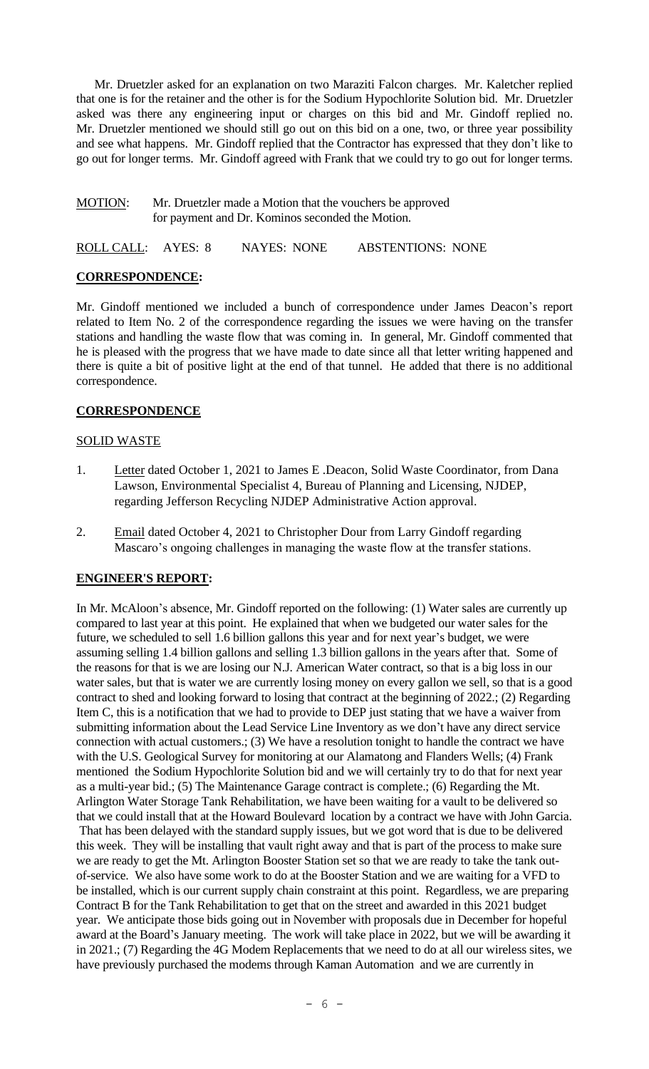Mr. Druetzler asked for an explanation on two Maraziti Falcon charges. Mr. Kaletcher replied that one is for the retainer and the other is for the Sodium Hypochlorite Solution bid. Mr. Druetzler asked was there any engineering input or charges on this bid and Mr. Gindoff replied no. Mr. Druetzler mentioned we should still go out on this bid on a one, two, or three year possibility and see what happens. Mr. Gindoff replied that the Contractor has expressed that they don't like to go out for longer terms. Mr. Gindoff agreed with Frank that we could try to go out for longer terms.

#### MOTION: Mr. Druetzler made a Motion that the vouchers be approved for payment and Dr. Kominos seconded the Motion.

ROLL CALL: AYES: 8 NAYES: NONE ABSTENTIONS: NONE

## **CORRESPONDENCE:**

Mr. Gindoff mentioned we included a bunch of correspondence under James Deacon's report related to Item No. 2 of the correspondence regarding the issues we were having on the transfer stations and handling the waste flow that was coming in. In general, Mr. Gindoff commented that he is pleased with the progress that we have made to date since all that letter writing happened and there is quite a bit of positive light at the end of that tunnel. He added that there is no additional correspondence.

## **CORRESPONDENCE**

## SOLID WASTE

- 1. Letter dated October 1, 2021 to James E .Deacon, Solid Waste Coordinator, from Dana Lawson, Environmental Specialist 4, Bureau of Planning and Licensing, NJDEP, regarding Jefferson Recycling NJDEP Administrative Action approval.
- 2. Email dated October 4, 2021 to Christopher Dour from Larry Gindoff regarding Mascaro's ongoing challenges in managing the waste flow at the transfer stations.

## **ENGINEER'S REPORT:**

In Mr. McAloon's absence, Mr. Gindoff reported on the following: (1) Water sales are currently up compared to last year at this point. He explained that when we budgeted our water sales for the future, we scheduled to sell 1.6 billion gallons this year and for next year's budget, we were assuming selling 1.4 billion gallons and selling 1.3 billion gallons in the years after that. Some of the reasons for that is we are losing our N.J. American Water contract, so that is a big loss in our water sales, but that is water we are currently losing money on every gallon we sell, so that is a good contract to shed and looking forward to losing that contract at the beginning of 2022.; (2) Regarding Item C, this is a notification that we had to provide to DEP just stating that we have a waiver from submitting information about the Lead Service Line Inventory as we don't have any direct service connection with actual customers.; (3) We have a resolution tonight to handle the contract we have with the U.S. Geological Survey for monitoring at our Alamatong and Flanders Wells; (4) Frank mentioned the Sodium Hypochlorite Solution bid and we will certainly try to do that for next year as a multi-year bid.; (5) The Maintenance Garage contract is complete.; (6) Regarding the Mt. Arlington Water Storage Tank Rehabilitation, we have been waiting for a vault to be delivered so that we could install that at the Howard Boulevard location by a contract we have with John Garcia. That has been delayed with the standard supply issues, but we got word that is due to be delivered this week. They will be installing that vault right away and that is part of the process to make sure we are ready to get the Mt. Arlington Booster Station set so that we are ready to take the tank outof-service. We also have some work to do at the Booster Station and we are waiting for a VFD to be installed, which is our current supply chain constraint at this point. Regardless, we are preparing Contract B for the Tank Rehabilitation to get that on the street and awarded in this 2021 budget year. We anticipate those bids going out in November with proposals due in December for hopeful award at the Board's January meeting. The work will take place in 2022, but we will be awarding it in 2021.; (7) Regarding the 4G Modem Replacements that we need to do at all our wireless sites, we have previously purchased the modems through Kaman Automation and we are currently in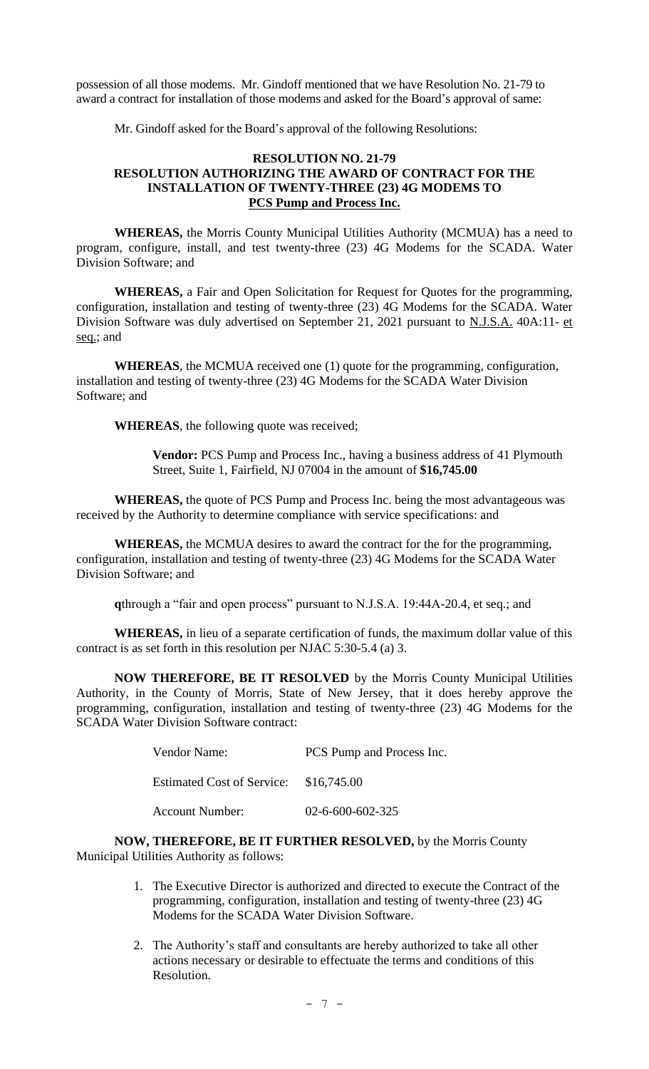possession of all those modems. Mr. Gindoff mentioned that we have Resolution No. 21-79 to award a contract for installation of those modems and asked for the Board's approval of same:

Mr. Gindoff asked for the Board's approval of the following Resolutions:

# **RESOLUTION NO. 21-79 RESOLUTION AUTHORIZING THE AWARD OF CONTRACT FOR THE INSTALLATION OF TWENTY-THREE (23) 4G MODEMS TO PCS Pump and Process Inc.**

**WHEREAS,** the Morris County Municipal Utilities Authority (MCMUA) has a need to program, configure, install, and test twenty-three (23) 4G Modems for the SCADA. Water Division Software; and

**WHEREAS,** a Fair and Open Solicitation for Request for Quotes for the programming, configuration, installation and testing of twenty-three (23) 4G Modems for the SCADA. Water Division Software was duly advertised on September 21, 2021 pursuant to N.J.S.A. 40A:11- et seq.; and

**WHEREAS**, the MCMUA received one (1) quote for the programming, configuration, installation and testing of twenty-three (23) 4G Modems for the SCADA Water Division Software; and

**WHEREAS**, the following quote was received;

**Vendor:** PCS Pump and Process Inc., having a business address of 41 Plymouth Street, Suite 1, Fairfield, NJ 07004 in the amount of **\$16,745.00**

**WHEREAS,** the quote of PCS Pump and Process Inc. being the most advantageous was received by the Authority to determine compliance with service specifications: and

**WHEREAS,** the MCMUA desires to award the contract for the for the programming, configuration, installation and testing of twenty-three (23) 4G Modems for the SCADA Water Division Software; and

**q**through a "fair and open process" pursuant to N.J.S.A. 19:44A-20.4, et seq.; and

**WHEREAS,** in lieu of a separate certification of funds, the maximum dollar value of this contract is as set forth in this resolution per NJAC 5:30-5.4 (a) 3.

**NOW THEREFORE, BE IT RESOLVED** by the Morris County Municipal Utilities Authority, in the County of Morris, State of New Jersey, that it does hereby approve the programming, configuration, installation and testing of twenty-three (23) 4G Modems for the SCADA Water Division Software contract:

| Vendor Name:                           | PCS Pump and Process Inc.  |
|----------------------------------------|----------------------------|
| Estimated Cost of Service: \$16,745.00 |                            |
| Account Number:                        | $02 - 6 - 600 - 602 - 325$ |

**NOW, THEREFORE, BE IT FURTHER RESOLVED,** by the Morris County Municipal Utilities Authority as follows:

- 1. The Executive Director is authorized and directed to execute the Contract of the programming, configuration, installation and testing of twenty-three (23) 4G Modems for the SCADA Water Division Software.
- 2. The Authority's staff and consultants are hereby authorized to take all other actions necessary or desirable to effectuate the terms and conditions of this Resolution.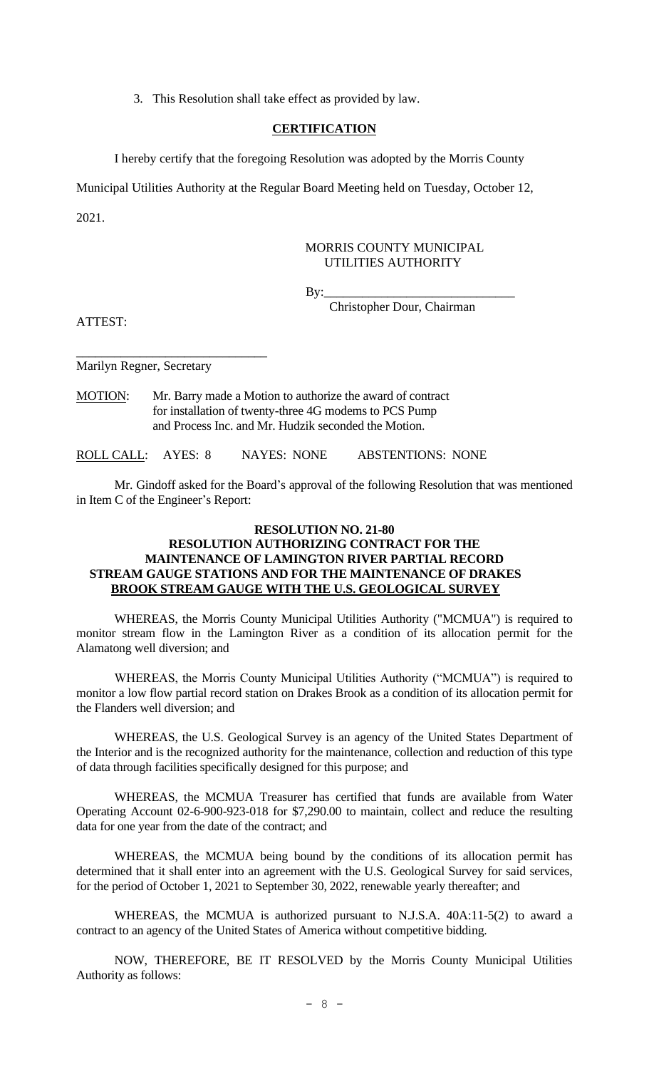3. This Resolution shall take effect as provided by law.

#### **CERTIFICATION**

I hereby certify that the foregoing Resolution was adopted by the Morris County

Municipal Utilities Authority at the Regular Board Meeting held on Tuesday, October 12,

2021.

#### MORRIS COUNTY MUNICIPAL UTILITIES AUTHORITY

By:\_\_\_\_\_\_\_\_\_\_\_\_\_\_\_\_\_\_\_\_\_\_\_\_\_\_\_\_\_\_

Christopher Dour, Chairman

ATTEST:

Marilyn Regner, Secretary

\_\_\_\_\_\_\_\_\_\_\_\_\_\_\_\_\_\_\_\_\_\_\_\_\_\_\_\_\_\_

MOTION: Mr. Barry made a Motion to authorize the award of contract for installation of twenty-three 4G modems to PCS Pump and Process Inc. and Mr. Hudzik seconded the Motion.

ROLL CALL: AYES: 8 NAYES: NONE ABSTENTIONS: NONE

Mr. Gindoff asked for the Board's approval of the following Resolution that was mentioned in Item C of the Engineer's Report:

# **RESOLUTION NO. 21-80 RESOLUTION AUTHORIZING CONTRACT FOR THE MAINTENANCE OF LAMINGTON RIVER PARTIAL RECORD STREAM GAUGE STATIONS AND FOR THE MAINTENANCE OF DRAKES BROOK STREAM GAUGE WITH THE U.S. GEOLOGICAL SURVEY**

WHEREAS, the Morris County Municipal Utilities Authority ("MCMUA") is required to monitor stream flow in the Lamington River as a condition of its allocation permit for the Alamatong well diversion; and

WHEREAS, the Morris County Municipal Utilities Authority ("MCMUA") is required to monitor a low flow partial record station on Drakes Brook as a condition of its allocation permit for the Flanders well diversion; and

WHEREAS, the U.S. Geological Survey is an agency of the United States Department of the Interior and is the recognized authority for the maintenance, collection and reduction of this type of data through facilities specifically designed for this purpose; and

WHEREAS, the MCMUA Treasurer has certified that funds are available from Water Operating Account 02-6-900-923-018 for \$7,290.00 to maintain, collect and reduce the resulting data for one year from the date of the contract; and

WHEREAS, the MCMUA being bound by the conditions of its allocation permit has determined that it shall enter into an agreement with the U.S. Geological Survey for said services, for the period of October 1, 2021 to September 30, 2022, renewable yearly thereafter; and

WHEREAS, the MCMUA is authorized pursuant to N.J.S.A. 40A:11-5(2) to award a contract to an agency of the United States of America without competitive bidding.

NOW, THEREFORE, BE IT RESOLVED by the Morris County Municipal Utilities Authority as follows: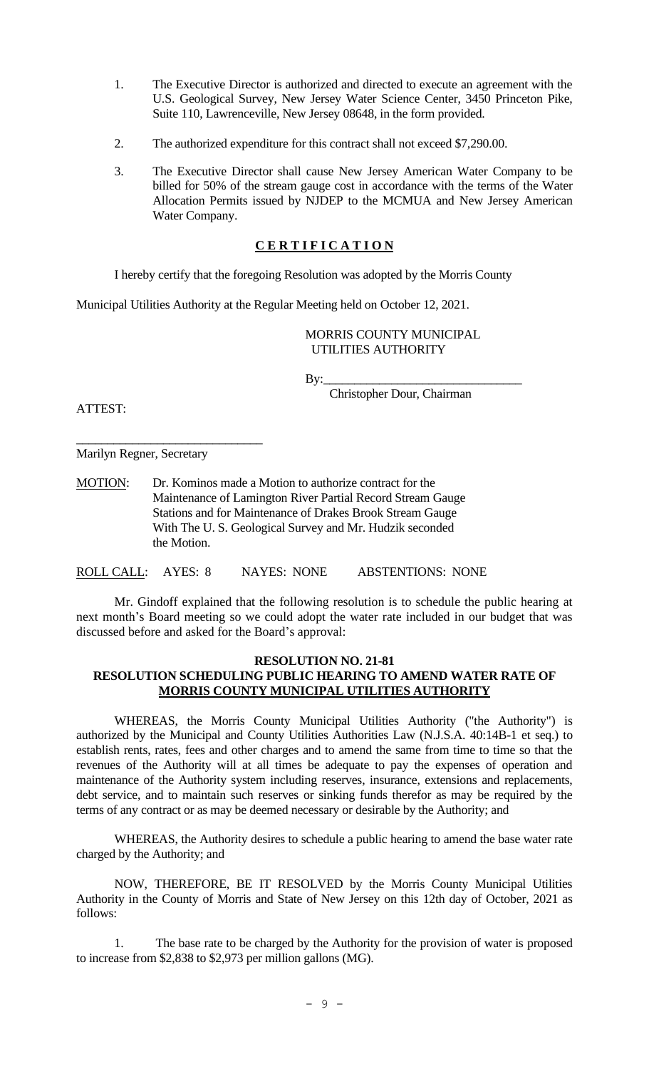- 1. The Executive Director is authorized and directed to execute an agreement with the U.S. Geological Survey, New Jersey Water Science Center, 3450 Princeton Pike, Suite 110, Lawrenceville, New Jersey 08648, in the form provided.
- 2. The authorized expenditure for this contract shall not exceed \$7,290.00.
- 3. The Executive Director shall cause New Jersey American Water Company to be billed for 50% of the stream gauge cost in accordance with the terms of the Water Allocation Permits issued by NJDEP to the MCMUA and New Jersey American Water Company.

# **C E R T I F I C A T I O N**

I hereby certify that the foregoing Resolution was adopted by the Morris County

Municipal Utilities Authority at the Regular Meeting held on October 12, 2021.

MORRIS COUNTY MUNICIPAL UTILITIES AUTHORITY

Christopher Dour, Chairman

By:\_\_\_\_\_\_\_\_\_\_\_\_\_\_\_\_\_\_\_\_\_\_\_\_\_\_\_\_\_\_\_\_

ATTEST:

Marilyn Regner, Secretary

\_\_\_\_\_\_\_\_\_\_\_\_\_\_\_\_\_\_\_\_\_\_\_\_\_\_\_\_\_\_

MOTION: Dr. Kominos made a Motion to authorize contract for the Maintenance of Lamington River Partial Record Stream Gauge Stations and for Maintenance of Drakes Brook Stream Gauge With The U. S. Geological Survey and Mr. Hudzik seconded the Motion.

ROLL CALL: AYES: 8 NAYES: NONE ABSTENTIONS: NONE

Mr. Gindoff explained that the following resolution is to schedule the public hearing at next month's Board meeting so we could adopt the water rate included in our budget that was discussed before and asked for the Board's approval:

## **RESOLUTION NO. 21-81 RESOLUTION SCHEDULING PUBLIC HEARING TO AMEND WATER RATE OF MORRIS COUNTY MUNICIPAL UTILITIES AUTHORITY**

WHEREAS, the Morris County Municipal Utilities Authority ("the Authority") is authorized by the Municipal and County Utilities Authorities Law (N.J.S.A. 40:14B-1 et seq.) to establish rents, rates, fees and other charges and to amend the same from time to time so that the revenues of the Authority will at all times be adequate to pay the expenses of operation and maintenance of the Authority system including reserves, insurance, extensions and replacements, debt service, and to maintain such reserves or sinking funds therefor as may be required by the terms of any contract or as may be deemed necessary or desirable by the Authority; and

WHEREAS, the Authority desires to schedule a public hearing to amend the base water rate charged by the Authority; and

NOW, THEREFORE, BE IT RESOLVED by the Morris County Municipal Utilities Authority in the County of Morris and State of New Jersey on this 12th day of October, 2021 as follows:

1. The base rate to be charged by the Authority for the provision of water is proposed to increase from \$2,838 to \$2,973 per million gallons (MG).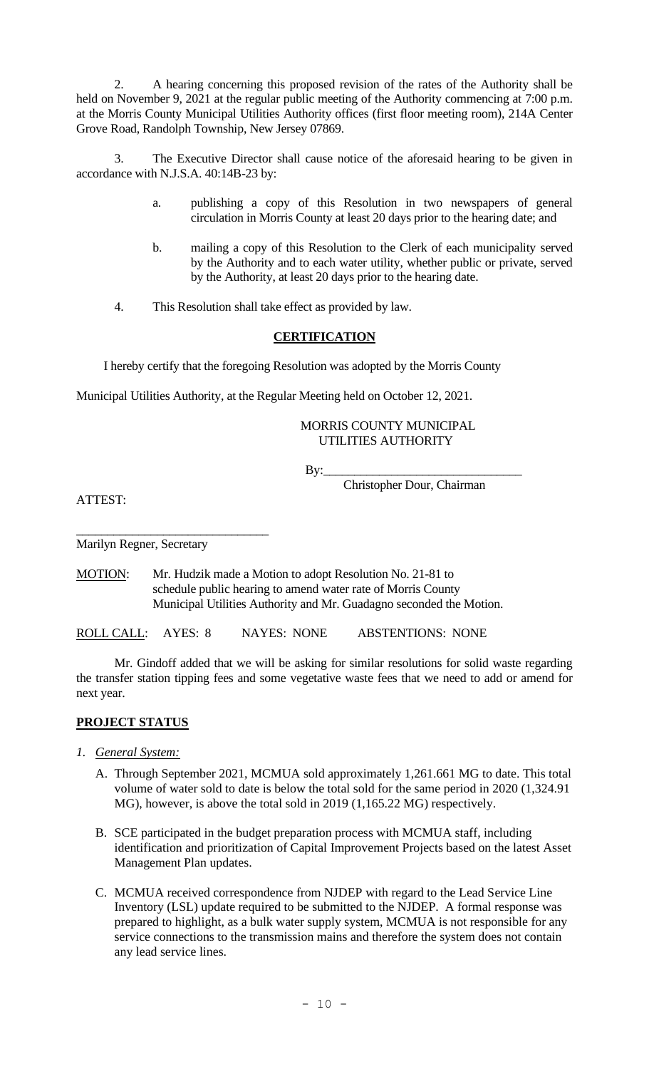2. A hearing concerning this proposed revision of the rates of the Authority shall be held on November 9, 2021 at the regular public meeting of the Authority commencing at 7:00 p.m. at the Morris County Municipal Utilities Authority offices (first floor meeting room), 214A Center Grove Road, Randolph Township, New Jersey 07869.

3. The Executive Director shall cause notice of the aforesaid hearing to be given in accordance with N.J.S.A. 40:14B-23 by:

- a. publishing a copy of this Resolution in two newspapers of general circulation in Morris County at least 20 days prior to the hearing date; and
- b. mailing a copy of this Resolution to the Clerk of each municipality served by the Authority and to each water utility, whether public or private, served by the Authority, at least 20 days prior to the hearing date.
- 4. This Resolution shall take effect as provided by law.

## **CERTIFICATION**

I hereby certify that the foregoing Resolution was adopted by the Morris County

Municipal Utilities Authority, at the Regular Meeting held on October 12, 2021.

# MORRIS COUNTY MUNICIPAL UTILITIES AUTHORITY

By:\_\_\_\_\_\_\_\_\_\_\_\_\_\_\_\_\_\_\_\_\_\_\_\_\_\_\_\_\_\_\_\_

Christopher Dour, Chairman

ATTEST:

Marilyn Regner, Secretary

\_\_\_\_\_\_\_\_\_\_\_\_\_\_\_\_\_\_\_\_\_\_\_\_\_\_\_\_\_\_\_

MOTION: Mr. Hudzik made a Motion to adopt Resolution No. 21-81 to schedule public hearing to amend water rate of Morris County Municipal Utilities Authority and Mr. Guadagno seconded the Motion.

ROLL CALL: AYES: 8 NAYES: NONE ABSTENTIONS: NONE

Mr. Gindoff added that we will be asking for similar resolutions for solid waste regarding the transfer station tipping fees and some vegetative waste fees that we need to add or amend for next year.

## **PROJECT STATUS**

- *1. General System:*
	- A. Through September 2021, MCMUA sold approximately 1,261.661 MG to date. This total volume of water sold to date is below the total sold for the same period in 2020 (1,324.91 MG), however, is above the total sold in 2019 (1,165.22 MG) respectively.
	- B. SCE participated in the budget preparation process with MCMUA staff, including identification and prioritization of Capital Improvement Projects based on the latest Asset Management Plan updates.
	- C. MCMUA received correspondence from NJDEP with regard to the Lead Service Line Inventory (LSL) update required to be submitted to the NJDEP. A formal response was prepared to highlight, as a bulk water supply system, MCMUA is not responsible for any service connections to the transmission mains and therefore the system does not contain any lead service lines.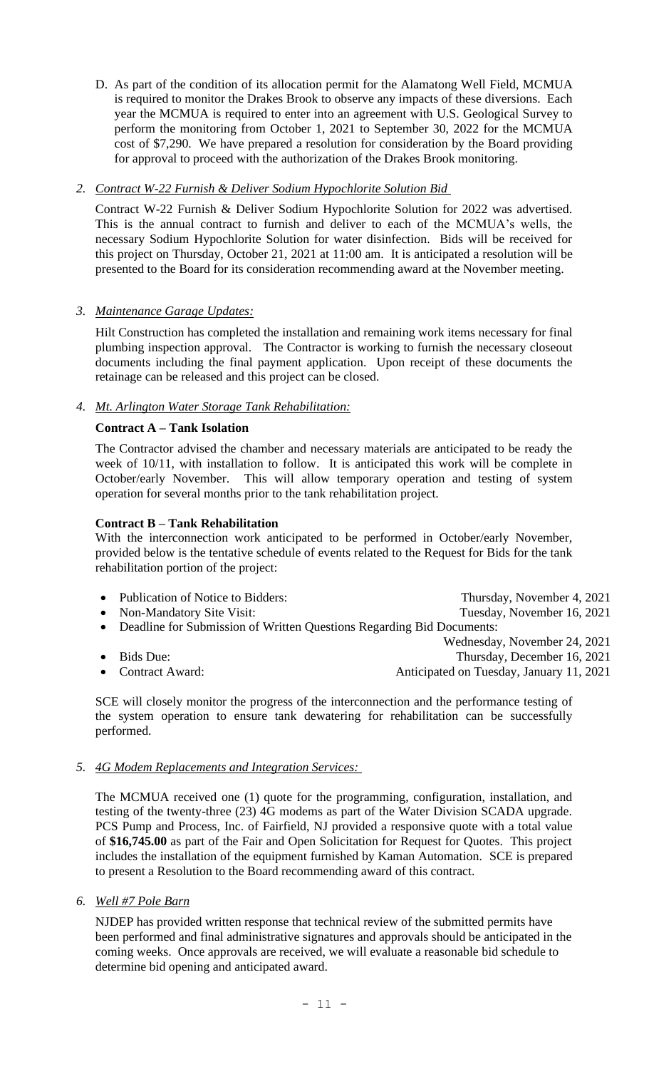D. As part of the condition of its allocation permit for the Alamatong Well Field, MCMUA is required to monitor the Drakes Brook to observe any impacts of these diversions. Each year the MCMUA is required to enter into an agreement with U.S. Geological Survey to perform the monitoring from October 1, 2021 to September 30, 2022 for the MCMUA cost of \$7,290. We have prepared a resolution for consideration by the Board providing for approval to proceed with the authorization of the Drakes Brook monitoring.

# *2. Contract W-22 Furnish & Deliver Sodium Hypochlorite Solution Bid*

Contract W-22 Furnish & Deliver Sodium Hypochlorite Solution for 2022 was advertised. This is the annual contract to furnish and deliver to each of the MCMUA's wells, the necessary Sodium Hypochlorite Solution for water disinfection. Bids will be received for this project on Thursday, October 21, 2021 at 11:00 am. It is anticipated a resolution will be presented to the Board for its consideration recommending award at the November meeting.

# *3. Maintenance Garage Updates:*

Hilt Construction has completed the installation and remaining work items necessary for final plumbing inspection approval. The Contractor is working to furnish the necessary closeout documents including the final payment application. Upon receipt of these documents the retainage can be released and this project can be closed.

# *4. Mt. Arlington Water Storage Tank Rehabilitation:*

# **Contract A – Tank Isolation**

The Contractor advised the chamber and necessary materials are anticipated to be ready the week of 10/11, with installation to follow. It is anticipated this work will be complete in October/early November. This will allow temporary operation and testing of system operation for several months prior to the tank rehabilitation project.

# **Contract B – Tank Rehabilitation**

With the interconnection work anticipated to be performed in October/early November, provided below is the tentative schedule of events related to the Request for Bids for the tank rehabilitation portion of the project:

| • Publication of Notice to Bidders:                                     | Thursday, November 4, 2021   |  |
|-------------------------------------------------------------------------|------------------------------|--|
| • Non-Mandatory Site Visit:                                             | Tuesday, November 16, 2021   |  |
| • Deadline for Submission of Written Questions Regarding Bid Documents: |                              |  |
|                                                                         | Wednesday, November 24, 2021 |  |
| $\bullet$ Bids Due:                                                     | Thursday, December 16, 2021  |  |

- 
- Contract Award: **Anticipated on Tuesday, January 11, 2021**
- 

SCE will closely monitor the progress of the interconnection and the performance testing of the system operation to ensure tank dewatering for rehabilitation can be successfully performed.

## *5. 4G Modem Replacements and Integration Services:*

The MCMUA received one (1) quote for the programming, configuration, installation, and testing of the twenty-three (23) 4G modems as part of the Water Division SCADA upgrade. PCS Pump and Process, Inc. of Fairfield, NJ provided a responsive quote with a total value of **\$16,745.00** as part of the Fair and Open Solicitation for Request for Quotes. This project includes the installation of the equipment furnished by Kaman Automation. SCE is prepared to present a Resolution to the Board recommending award of this contract.

*6. Well #7 Pole Barn*

NJDEP has provided written response that technical review of the submitted permits have been performed and final administrative signatures and approvals should be anticipated in the coming weeks. Once approvals are received, we will evaluate a reasonable bid schedule to determine bid opening and anticipated award.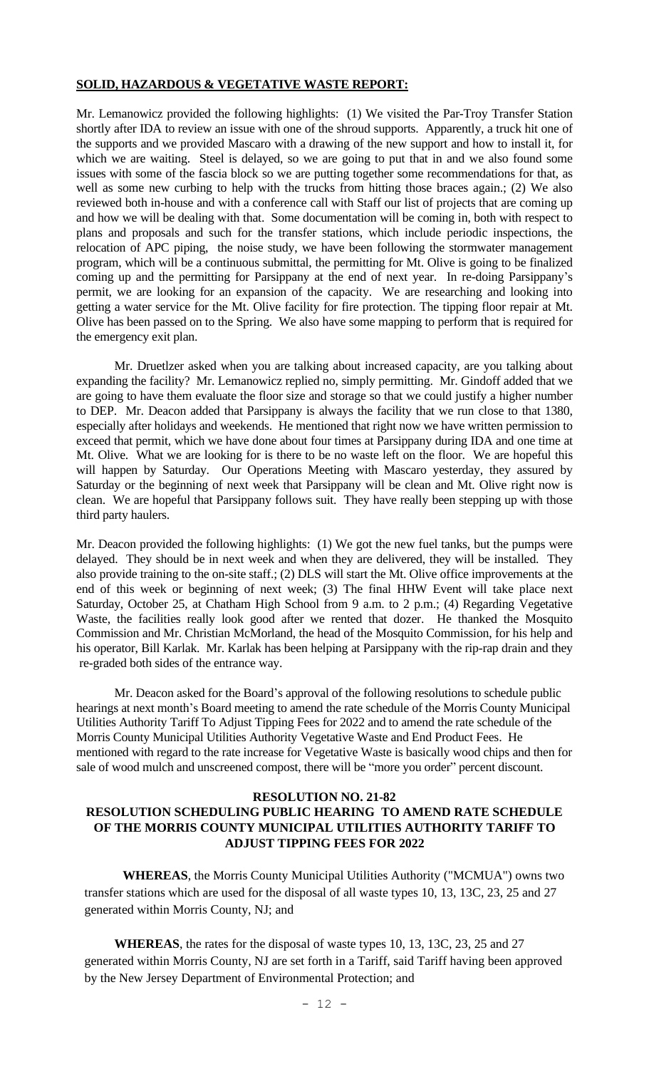## **SOLID, HAZARDOUS & VEGETATIVE WASTE REPORT:**

Mr. Lemanowicz provided the following highlights: (1) We visited the Par-Troy Transfer Station shortly after IDA to review an issue with one of the shroud supports. Apparently, a truck hit one of the supports and we provided Mascaro with a drawing of the new support and how to install it, for which we are waiting. Steel is delayed, so we are going to put that in and we also found some issues with some of the fascia block so we are putting together some recommendations for that, as well as some new curbing to help with the trucks from hitting those braces again.; (2) We also reviewed both in-house and with a conference call with Staff our list of projects that are coming up and how we will be dealing with that. Some documentation will be coming in, both with respect to plans and proposals and such for the transfer stations, which include periodic inspections, the relocation of APC piping, the noise study, we have been following the stormwater management program, which will be a continuous submittal, the permitting for Mt. Olive is going to be finalized coming up and the permitting for Parsippany at the end of next year. In re-doing Parsippany's permit, we are looking for an expansion of the capacity. We are researching and looking into getting a water service for the Mt. Olive facility for fire protection. The tipping floor repair at Mt. Olive has been passed on to the Spring. We also have some mapping to perform that is required for the emergency exit plan.

Mr. Druetlzer asked when you are talking about increased capacity, are you talking about expanding the facility? Mr. Lemanowicz replied no, simply permitting. Mr. Gindoff added that we are going to have them evaluate the floor size and storage so that we could justify a higher number to DEP. Mr. Deacon added that Parsippany is always the facility that we run close to that 1380, especially after holidays and weekends. He mentioned that right now we have written permission to exceed that permit, which we have done about four times at Parsippany during IDA and one time at Mt. Olive. What we are looking for is there to be no waste left on the floor. We are hopeful this will happen by Saturday. Our Operations Meeting with Mascaro yesterday, they assured by Saturday or the beginning of next week that Parsippany will be clean and Mt. Olive right now is clean. We are hopeful that Parsippany follows suit. They have really been stepping up with those third party haulers.

Mr. Deacon provided the following highlights: (1) We got the new fuel tanks, but the pumps were delayed. They should be in next week and when they are delivered, they will be installed. They also provide training to the on-site staff.; (2) DLS will start the Mt. Olive office improvements at the end of this week or beginning of next week; (3) The final HHW Event will take place next Saturday, October 25, at Chatham High School from 9 a.m. to 2 p.m.; (4) Regarding Vegetative Waste, the facilities really look good after we rented that dozer. He thanked the Mosquito Commission and Mr. Christian McMorland, the head of the Mosquito Commission, for his help and his operator, Bill Karlak. Mr. Karlak has been helping at Parsippany with the rip-rap drain and they re-graded both sides of the entrance way.

Mr. Deacon asked for the Board's approval of the following resolutions to schedule public hearings at next month's Board meeting to amend the rate schedule of the Morris County Municipal Utilities Authority Tariff To Adjust Tipping Fees for 2022 and to amend the rate schedule of the Morris County Municipal Utilities Authority Vegetative Waste and End Product Fees. He mentioned with regard to the rate increase for Vegetative Waste is basically wood chips and then for sale of wood mulch and unscreened compost, there will be "more you order" percent discount.

# **RESOLUTION NO. 21-82 RESOLUTION SCHEDULING PUBLIC HEARING TO AMEND RATE SCHEDULE OF THE MORRIS COUNTY MUNICIPAL UTILITIES AUTHORITY TARIFF TO ADJUST TIPPING FEES FOR 2022**

**WHEREAS**, the Morris County Municipal Utilities Authority ("MCMUA") owns two transfer stations which are used for the disposal of all waste types 10, 13, 13C, 23, 25 and 27 generated within Morris County, NJ; and

**WHEREAS**, the rates for the disposal of waste types 10, 13, 13C, 23, 25 and 27 generated within Morris County, NJ are set forth in a Tariff, said Tariff having been approved by the New Jersey Department of Environmental Protection; and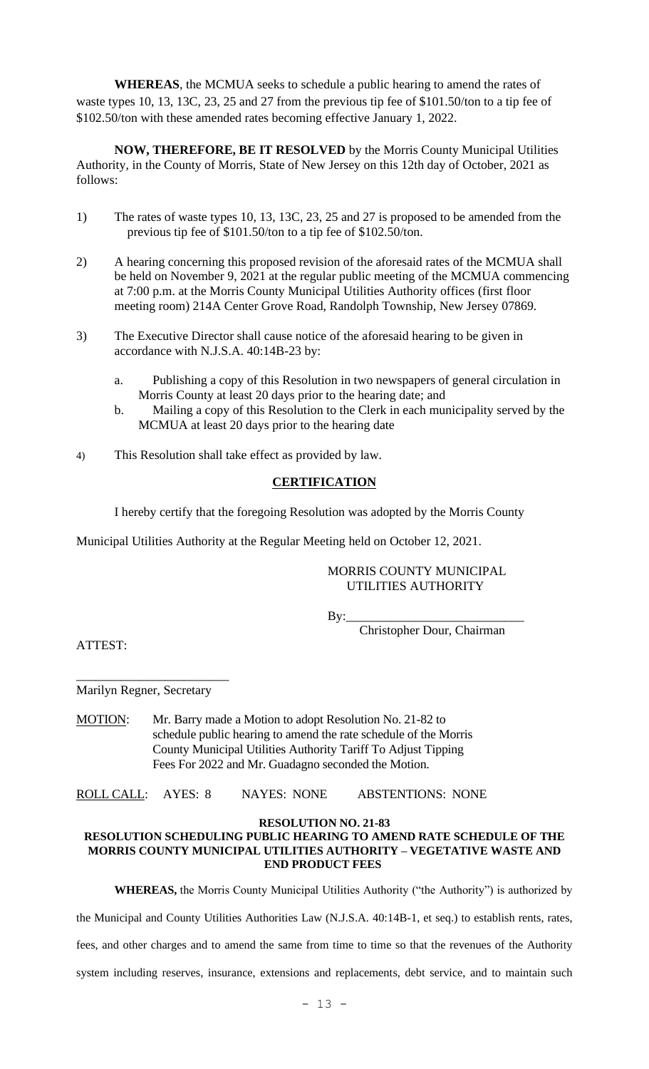**WHEREAS**, the MCMUA seeks to schedule a public hearing to amend the rates of waste types 10, 13, 13C, 23, 25 and 27 from the previous tip fee of \$101.50/ton to a tip fee of \$102.50/ton with these amended rates becoming effective January 1, 2022.

**NOW, THEREFORE, BE IT RESOLVED** by the Morris County Municipal Utilities Authority, in the County of Morris, State of New Jersey on this 12th day of October, 2021 as follows:

- 1) The rates of waste types 10, 13, 13C, 23, 25 and 27 is proposed to be amended from the previous tip fee of \$101.50/ton to a tip fee of \$102.50/ton.
- 2) A hearing concerning this proposed revision of the aforesaid rates of the MCMUA shall be held on November 9, 2021 at the regular public meeting of the MCMUA commencing at 7:00 p.m. at the Morris County Municipal Utilities Authority offices (first floor meeting room) 214A Center Grove Road, Randolph Township, New Jersey 07869.
- 3) The Executive Director shall cause notice of the aforesaid hearing to be given in accordance with N.J.S.A. 40:14B-23 by:
	- a. Publishing a copy of this Resolution in two newspapers of general circulation in Morris County at least 20 days prior to the hearing date; and
	- b. Mailing a copy of this Resolution to the Clerk in each municipality served by the MCMUA at least 20 days prior to the hearing date
- 4) This Resolution shall take effect as provided by law.

# **CERTIFICATION**

I hereby certify that the foregoing Resolution was adopted by the Morris County

Municipal Utilities Authority at the Regular Meeting held on October 12, 2021.

## MORRIS COUNTY MUNICIPAL UTILITIES AUTHORITY

 By:\_\_\_\_\_\_\_\_\_\_\_\_\_\_\_\_\_\_\_\_\_\_\_\_\_\_\_\_ Christopher Dour, Chairman

ATTEST:

\_\_\_\_\_\_\_\_\_\_\_\_\_\_\_\_\_\_\_\_\_\_\_\_ Marilyn Regner, Secretary

MOTION: Mr. Barry made a Motion to adopt Resolution No. 21-82 to schedule public hearing to amend the rate schedule of the Morris County Municipal Utilities Authority Tariff To Adjust Tipping Fees For 2022 and Mr. Guadagno seconded the Motion.

ROLL CALL: AYES: 8 NAYES: NONE ABSTENTIONS: NONE

**RESOLUTION NO. 21-83**

## **RESOLUTION SCHEDULING PUBLIC HEARING TO AMEND RATE SCHEDULE OF THE MORRIS COUNTY MUNICIPAL UTILITIES AUTHORITY – VEGETATIVE WASTE AND END PRODUCT FEES**

**WHEREAS,** the Morris County Municipal Utilities Authority ("the Authority") is authorized by

the Municipal and County Utilities Authorities Law (N.J.S.A. 40:14B-1, et seq.) to establish rents, rates,

fees, and other charges and to amend the same from time to time so that the revenues of the Authority

system including reserves, insurance, extensions and replacements, debt service, and to maintain such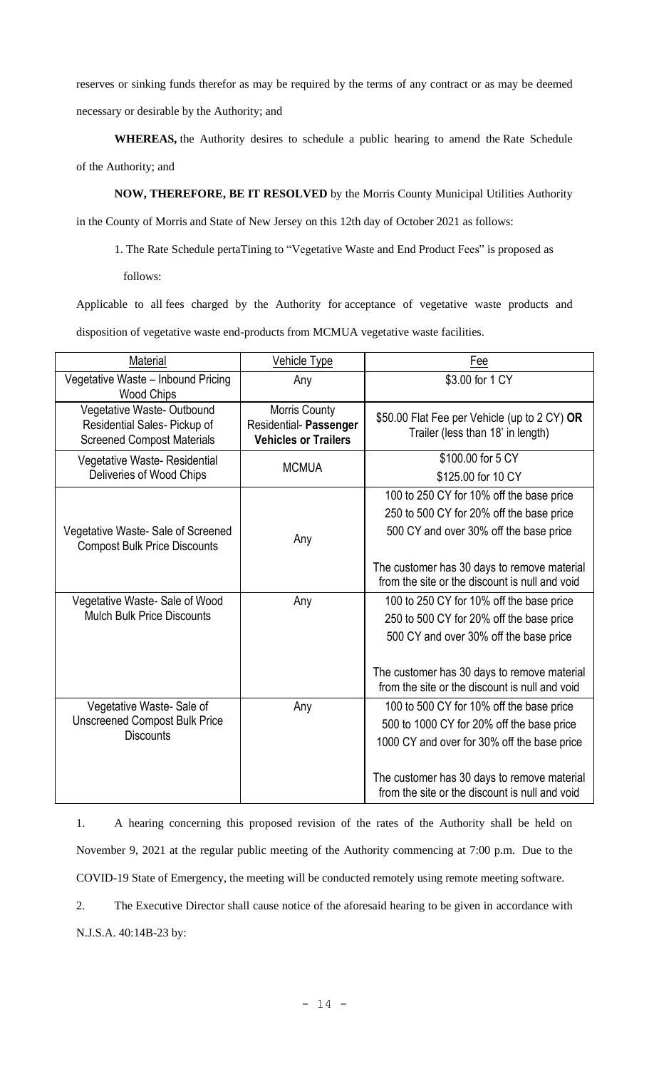reserves or sinking funds therefor as may be required by the terms of any contract or as may be deemed

necessary or desirable by the Authority; and

**WHEREAS,** the Authority desires to schedule a public hearing to amend the Rate Schedule of the Authority; and

**NOW, THEREFORE, BE IT RESOLVED** by the Morris County Municipal Utilities Authority

in the County of Morris and State of New Jersey on this 12th day of October 2021 as follows:

1. The Rate Schedule pertaTining to "Vegetative Waste and End Product Fees" is proposed as

follows:

Applicable to all fees charged by the Authority for acceptance of vegetative waste products and disposition of vegetative waste end-products from MCMUA vegetative waste facilities.

| Material                                                                                       | <b>Vehicle Type</b>                                                    | Fee                                                                                                                                                                                                                                   |
|------------------------------------------------------------------------------------------------|------------------------------------------------------------------------|---------------------------------------------------------------------------------------------------------------------------------------------------------------------------------------------------------------------------------------|
| Vegetative Waste - Inbound Pricing<br><b>Wood Chips</b>                                        | Any                                                                    | \$3.00 for 1 CY                                                                                                                                                                                                                       |
| Vegetative Waste-Outbound<br>Residential Sales- Pickup of<br><b>Screened Compost Materials</b> | Morris County<br>Residential- Passenger<br><b>Vehicles or Trailers</b> | \$50.00 Flat Fee per Vehicle (up to 2 CY) OR<br>Trailer (less than 18' in length)                                                                                                                                                     |
| Vegetative Waste-Residential<br>Deliveries of Wood Chips                                       | <b>MCMUA</b>                                                           | \$100.00 for 5 CY<br>\$125.00 for 10 CY                                                                                                                                                                                               |
| Vegetative Waste- Sale of Screened<br><b>Compost Bulk Price Discounts</b>                      | Any                                                                    | 100 to 250 CY for 10% off the base price<br>250 to 500 CY for 20% off the base price<br>500 CY and over 30% off the base price<br>The customer has 30 days to remove material<br>from the site or the discount is null and void       |
| Vegetative Waste-Sale of Wood<br><b>Mulch Bulk Price Discounts</b>                             | Any                                                                    | 100 to 250 CY for 10% off the base price<br>250 to 500 CY for 20% off the base price<br>500 CY and over 30% off the base price<br>The customer has 30 days to remove material<br>from the site or the discount is null and void       |
| Vegetative Waste-Sale of<br><b>Unscreened Compost Bulk Price</b><br><b>Discounts</b>           | Any                                                                    | 100 to 500 CY for 10% off the base price<br>500 to 1000 CY for 20% off the base price<br>1000 CY and over for 30% off the base price<br>The customer has 30 days to remove material<br>from the site or the discount is null and void |

1. A hearing concerning this proposed revision of the rates of the Authority shall be held on November 9, 2021 at the regular public meeting of the Authority commencing at 7:00 p.m. Due to the COVID-19 State of Emergency, the meeting will be conducted remotely using remote meeting software.

2. The Executive Director shall cause notice of the aforesaid hearing to be given in accordance with N.J.S.A. 40:14B-23 by: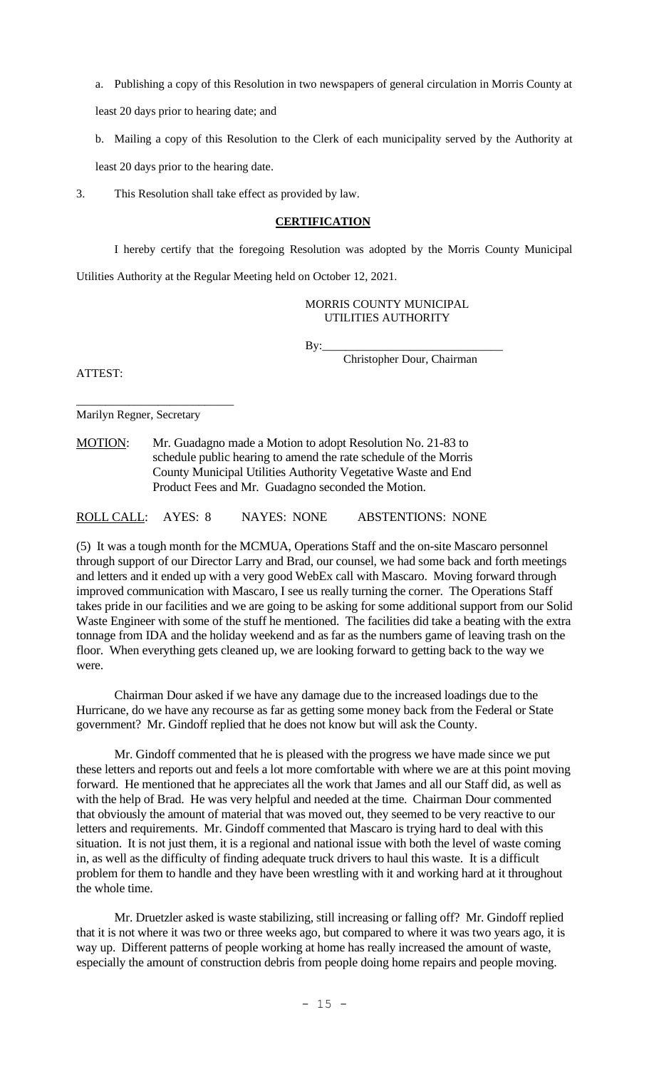a. Publishing a copy of this Resolution in two newspapers of general circulation in Morris County at

least 20 days prior to hearing date; and

b. Mailing a copy of this Resolution to the Clerk of each municipality served by the Authority at

least 20 days prior to the hearing date.

3. This Resolution shall take effect as provided by law.

#### **CERTIFICATION**

I hereby certify that the foregoing Resolution was adopted by the Morris County Municipal Utilities Authority at the Regular Meeting held on October 12, 2021.

> MORRIS COUNTY MUNICIPAL UTILITIES AUTHORITY

 $By:$ 

Christopher Dour, Chairman

ATTEST:

Marilyn Regner, Secretary

\_\_\_\_\_\_\_\_\_\_\_\_\_\_\_\_\_\_\_\_\_\_\_\_\_\_\_

MOTION: Mr. Guadagno made a Motion to adopt Resolution No. 21-83 to schedule public hearing to amend the rate schedule of the Morris County Municipal Utilities Authority Vegetative Waste and End Product Fees and Mr. Guadagno seconded the Motion.

ROLL CALL: AYES: 8 NAYES: NONE ABSTENTIONS: NONE

(5) It was a tough month for the MCMUA, Operations Staff and the on-site Mascaro personnel through support of our Director Larry and Brad, our counsel, we had some back and forth meetings and letters and it ended up with a very good WebEx call with Mascaro. Moving forward through improved communication with Mascaro, I see us really turning the corner. The Operations Staff takes pride in our facilities and we are going to be asking for some additional support from our Solid Waste Engineer with some of the stuff he mentioned. The facilities did take a beating with the extra tonnage from IDA and the holiday weekend and as far as the numbers game of leaving trash on the floor. When everything gets cleaned up, we are looking forward to getting back to the way we were.

Chairman Dour asked if we have any damage due to the increased loadings due to the Hurricane, do we have any recourse as far as getting some money back from the Federal or State government? Mr. Gindoff replied that he does not know but will ask the County.

Mr. Gindoff commented that he is pleased with the progress we have made since we put these letters and reports out and feels a lot more comfortable with where we are at this point moving forward. He mentioned that he appreciates all the work that James and all our Staff did, as well as with the help of Brad. He was very helpful and needed at the time. Chairman Dour commented that obviously the amount of material that was moved out, they seemed to be very reactive to our letters and requirements. Mr. Gindoff commented that Mascaro is trying hard to deal with this situation. It is not just them, it is a regional and national issue with both the level of waste coming in, as well as the difficulty of finding adequate truck drivers to haul this waste. It is a difficult problem for them to handle and they have been wrestling with it and working hard at it throughout the whole time.

Mr. Druetzler asked is waste stabilizing, still increasing or falling off? Mr. Gindoff replied that it is not where it was two or three weeks ago, but compared to where it was two years ago, it is way up. Different patterns of people working at home has really increased the amount of waste, especially the amount of construction debris from people doing home repairs and people moving.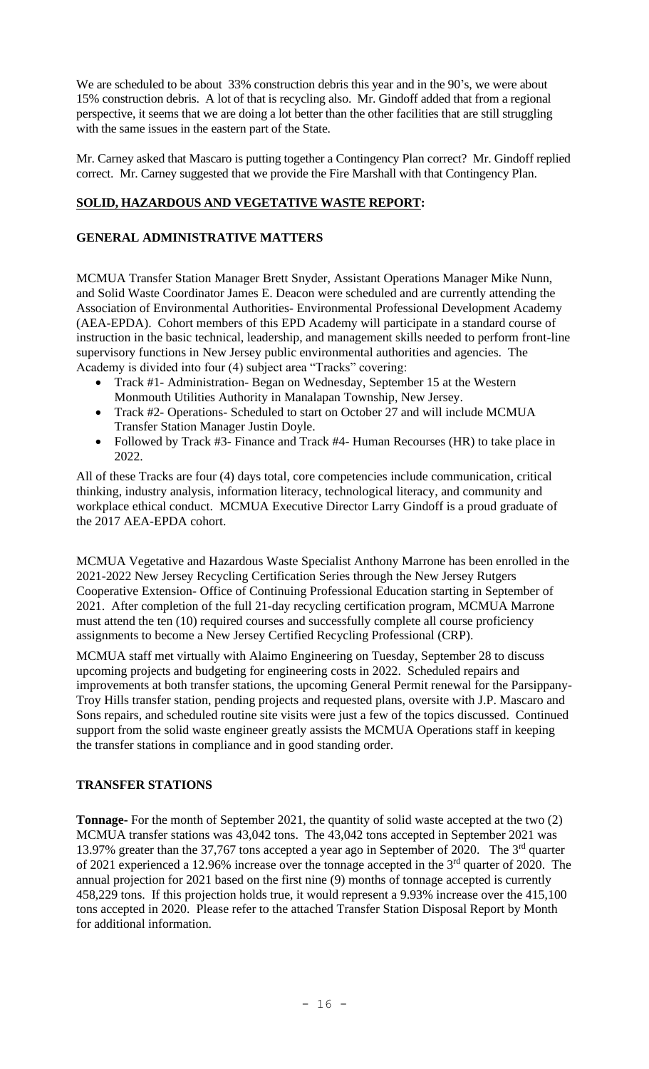We are scheduled to be about 33% construction debris this year and in the 90's, we were about 15% construction debris. A lot of that is recycling also. Mr. Gindoff added that from a regional perspective, it seems that we are doing a lot better than the other facilities that are still struggling with the same issues in the eastern part of the State.

Mr. Carney asked that Mascaro is putting together a Contingency Plan correct? Mr. Gindoff replied correct. Mr. Carney suggested that we provide the Fire Marshall with that Contingency Plan.

# **SOLID, HAZARDOUS AND VEGETATIVE WASTE REPORT:**

# **GENERAL ADMINISTRATIVE MATTERS**

MCMUA Transfer Station Manager Brett Snyder, Assistant Operations Manager Mike Nunn, and Solid Waste Coordinator James E. Deacon were scheduled and are currently attending the Association of Environmental Authorities- Environmental Professional Development Academy (AEA-EPDA). Cohort members of this EPD Academy will participate in a standard course of instruction in the basic technical, leadership, and management skills needed to perform front-line supervisory functions in New Jersey public environmental authorities and agencies. The Academy is divided into four (4) subject area "Tracks" covering:

- Track #1- Administration- Began on Wednesday, September 15 at the Western Monmouth Utilities Authority in Manalapan Township, New Jersey.
- Track #2- Operations- Scheduled to start on October 27 and will include MCMUA Transfer Station Manager Justin Doyle.
- Followed by Track #3- Finance and Track #4- Human Recourses (HR) to take place in 2022.

All of these Tracks are four (4) days total, core competencies include communication, critical thinking, industry analysis, information literacy, technological literacy, and community and workplace ethical conduct. MCMUA Executive Director Larry Gindoff is a proud graduate of the 2017 AEA-EPDA cohort.

MCMUA Vegetative and Hazardous Waste Specialist Anthony Marrone has been enrolled in the 2021-2022 New Jersey Recycling Certification Series through the New Jersey Rutgers Cooperative Extension- Office of Continuing Professional Education starting in September of 2021. After completion of the full 21-day recycling certification program, MCMUA Marrone must attend the ten (10) required courses and successfully complete all course proficiency assignments to become a New Jersey Certified Recycling Professional (CRP).

MCMUA staff met virtually with Alaimo Engineering on Tuesday, September 28 to discuss upcoming projects and budgeting for engineering costs in 2022. Scheduled repairs and improvements at both transfer stations, the upcoming General Permit renewal for the Parsippany-Troy Hills transfer station, pending projects and requested plans, oversite with J.P. Mascaro and Sons repairs, and scheduled routine site visits were just a few of the topics discussed. Continued support from the solid waste engineer greatly assists the MCMUA Operations staff in keeping the transfer stations in compliance and in good standing order.

## **TRANSFER STATIONS**

**Tonnage-** For the month of September 2021, the quantity of solid waste accepted at the two (2) MCMUA transfer stations was 43,042 tons. The 43,042 tons accepted in September 2021 was 13.97% greater than the 37,767 tons accepted a year ago in September of 2020. The 3<sup>rd</sup> quarter of 2021 experienced a 12.96% increase over the tonnage accepted in the 3<sup>rd</sup> quarter of 2020. The annual projection for 2021 based on the first nine (9) months of tonnage accepted is currently 458,229 tons. If this projection holds true, it would represent a 9.93% increase over the 415,100 tons accepted in 2020. Please refer to the attached Transfer Station Disposal Report by Month for additional information.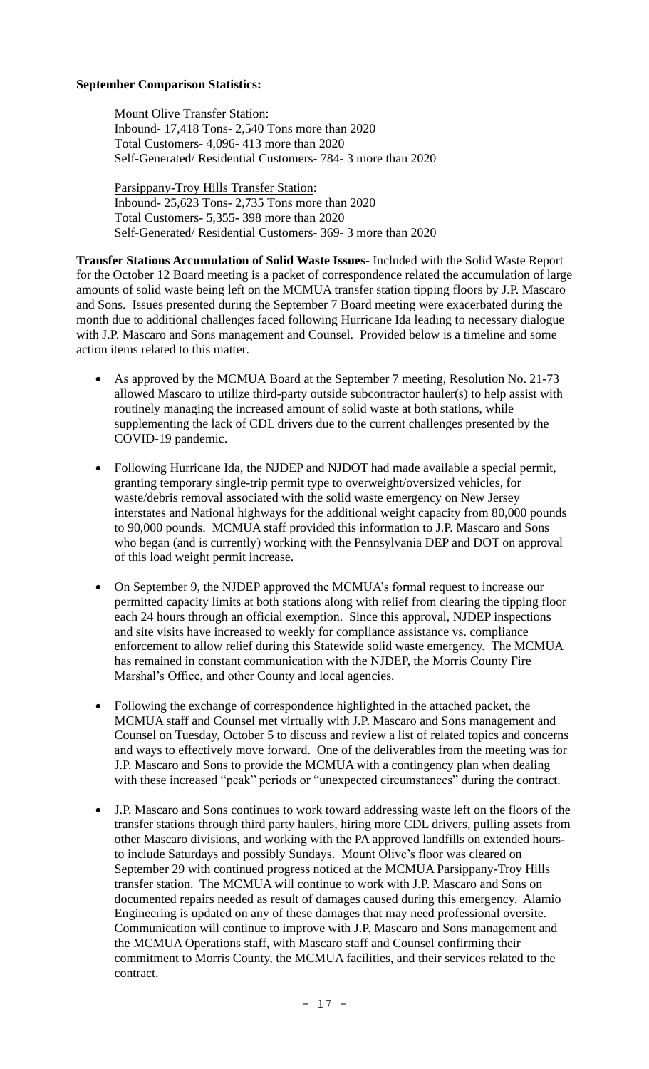# **September Comparison Statistics:**

Mount Olive Transfer Station: Inbound- 17,418 Tons- 2,540 Tons more than 2020 Total Customers- 4,096- 413 more than 2020 Self-Generated/ Residential Customers- 784- 3 more than 2020

Parsippany-Troy Hills Transfer Station: Inbound- 25,623 Tons- 2,735 Tons more than 2020 Total Customers- 5,355- 398 more than 2020 Self-Generated/ Residential Customers- 369- 3 more than 2020

**Transfer Stations Accumulation of Solid Waste Issues-** Included with the Solid Waste Report for the October 12 Board meeting is a packet of correspondence related the accumulation of large amounts of solid waste being left on the MCMUA transfer station tipping floors by J.P. Mascaro and Sons. Issues presented during the September 7 Board meeting were exacerbated during the month due to additional challenges faced following Hurricane Ida leading to necessary dialogue with J.P. Mascaro and Sons management and Counsel. Provided below is a timeline and some action items related to this matter.

- As approved by the MCMUA Board at the September 7 meeting, Resolution No. 21-73 allowed Mascaro to utilize third-party outside subcontractor hauler(s) to help assist with routinely managing the increased amount of solid waste at both stations, while supplementing the lack of CDL drivers due to the current challenges presented by the COVID-19 pandemic.
- Following Hurricane Ida, the NJDEP and NJDOT had made available a special permit, granting temporary single-trip permit type to overweight/oversized vehicles, for waste/debris removal associated with the solid waste emergency on New Jersey interstates and National highways for the additional weight capacity from 80,000 pounds to 90,000 pounds. MCMUA staff provided this information to J.P. Mascaro and Sons who began (and is currently) working with the Pennsylvania DEP and DOT on approval of this load weight permit increase.
- On September 9, the NJDEP approved the MCMUA's formal request to increase our permitted capacity limits at both stations along with relief from clearing the tipping floor each 24 hours through an official exemption. Since this approval, NJDEP inspections and site visits have increased to weekly for compliance assistance vs. compliance enforcement to allow relief during this Statewide solid waste emergency. The MCMUA has remained in constant communication with the NJDEP, the Morris County Fire Marshal's Office, and other County and local agencies.
- Following the exchange of correspondence highlighted in the attached packet, the MCMUA staff and Counsel met virtually with J.P. Mascaro and Sons management and Counsel on Tuesday, October 5 to discuss and review a list of related topics and concerns and ways to effectively move forward. One of the deliverables from the meeting was for J.P. Mascaro and Sons to provide the MCMUA with a contingency plan when dealing with these increased "peak" periods or "unexpected circumstances" during the contract.
- J.P. Mascaro and Sons continues to work toward addressing waste left on the floors of the transfer stations through third party haulers, hiring more CDL drivers, pulling assets from other Mascaro divisions, and working with the PA approved landfills on extended hoursto include Saturdays and possibly Sundays. Mount Olive's floor was cleared on September 29 with continued progress noticed at the MCMUA Parsippany-Troy Hills transfer station. The MCMUA will continue to work with J.P. Mascaro and Sons on documented repairs needed as result of damages caused during this emergency. Alamio Engineering is updated on any of these damages that may need professional oversite. Communication will continue to improve with J.P. Mascaro and Sons management and the MCMUA Operations staff, with Mascaro staff and Counsel confirming their commitment to Morris County, the MCMUA facilities, and their services related to the contract.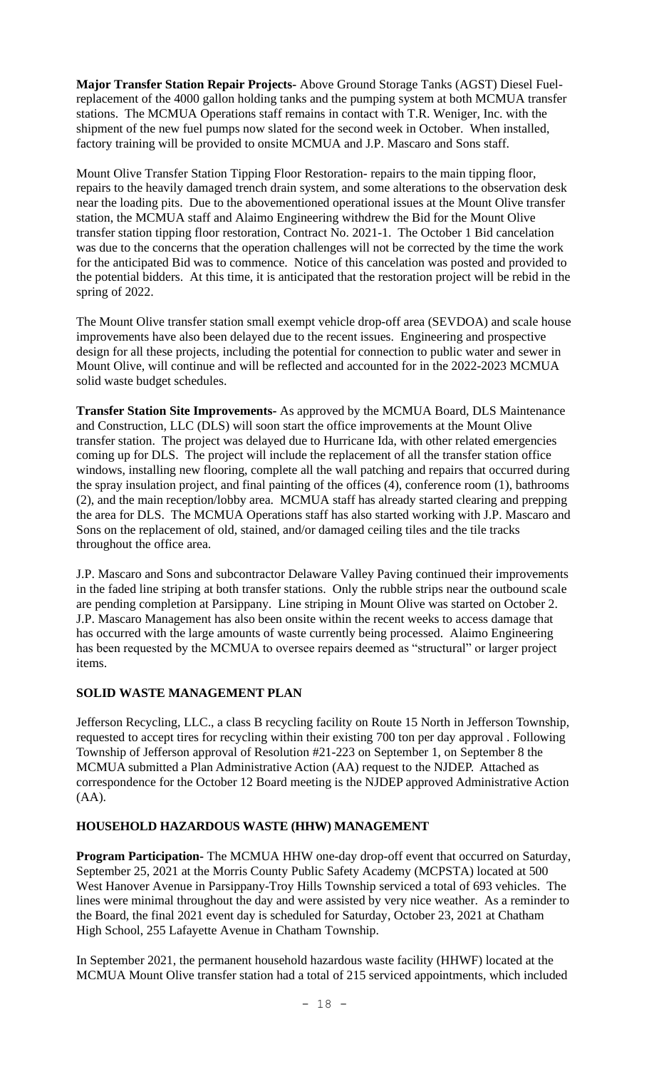**Major Transfer Station Repair Projects-** Above Ground Storage Tanks (AGST) Diesel Fuelreplacement of the 4000 gallon holding tanks and the pumping system at both MCMUA transfer stations. The MCMUA Operations staff remains in contact with T.R. Weniger, Inc. with the shipment of the new fuel pumps now slated for the second week in October. When installed, factory training will be provided to onsite MCMUA and J.P. Mascaro and Sons staff.

Mount Olive Transfer Station Tipping Floor Restoration- repairs to the main tipping floor, repairs to the heavily damaged trench drain system, and some alterations to the observation desk near the loading pits. Due to the abovementioned operational issues at the Mount Olive transfer station, the MCMUA staff and Alaimo Engineering withdrew the Bid for the Mount Olive transfer station tipping floor restoration, Contract No. 2021-1. The October 1 Bid cancelation was due to the concerns that the operation challenges will not be corrected by the time the work for the anticipated Bid was to commence. Notice of this cancelation was posted and provided to the potential bidders. At this time, it is anticipated that the restoration project will be rebid in the spring of 2022.

The Mount Olive transfer station small exempt vehicle drop-off area (SEVDOA) and scale house improvements have also been delayed due to the recent issues. Engineering and prospective design for all these projects, including the potential for connection to public water and sewer in Mount Olive, will continue and will be reflected and accounted for in the 2022-2023 MCMUA solid waste budget schedules.

**Transfer Station Site Improvements-** As approved by the MCMUA Board, DLS Maintenance and Construction, LLC (DLS) will soon start the office improvements at the Mount Olive transfer station. The project was delayed due to Hurricane Ida, with other related emergencies coming up for DLS. The project will include the replacement of all the transfer station office windows, installing new flooring, complete all the wall patching and repairs that occurred during the spray insulation project, and final painting of the offices (4), conference room (1), bathrooms (2), and the main reception/lobby area. MCMUA staff has already started clearing and prepping the area for DLS. The MCMUA Operations staff has also started working with J.P. Mascaro and Sons on the replacement of old, stained, and/or damaged ceiling tiles and the tile tracks throughout the office area.

J.P. Mascaro and Sons and subcontractor Delaware Valley Paving continued their improvements in the faded line striping at both transfer stations. Only the rubble strips near the outbound scale are pending completion at Parsippany. Line striping in Mount Olive was started on October 2. J.P. Mascaro Management has also been onsite within the recent weeks to access damage that has occurred with the large amounts of waste currently being processed. Alaimo Engineering has been requested by the MCMUA to oversee repairs deemed as "structural" or larger project items.

# **SOLID WASTE MANAGEMENT PLAN**

Jefferson Recycling, LLC., a class B recycling facility on Route 15 North in Jefferson Township, requested to accept tires for recycling within their existing 700 ton per day approval . Following Township of Jefferson approval of Resolution #21-223 on September 1, on September 8 the MCMUA submitted a Plan Administrative Action (AA) request to the NJDEP. Attached as correspondence for the October 12 Board meeting is the NJDEP approved Administrative Action (AA).

## **HOUSEHOLD HAZARDOUS WASTE (HHW) MANAGEMENT**

**Program Participation-** The MCMUA HHW one-day drop-off event that occurred on Saturday, September 25, 2021 at the Morris County Public Safety Academy (MCPSTA) located at 500 West Hanover Avenue in Parsippany-Troy Hills Township serviced a total of 693 vehicles. The lines were minimal throughout the day and were assisted by very nice weather. As a reminder to the Board, the final 2021 event day is scheduled for Saturday, October 23, 2021 at Chatham High School, 255 Lafayette Avenue in Chatham Township.

In September 2021, the permanent household hazardous waste facility (HHWF) located at the MCMUA Mount Olive transfer station had a total of 215 serviced appointments, which included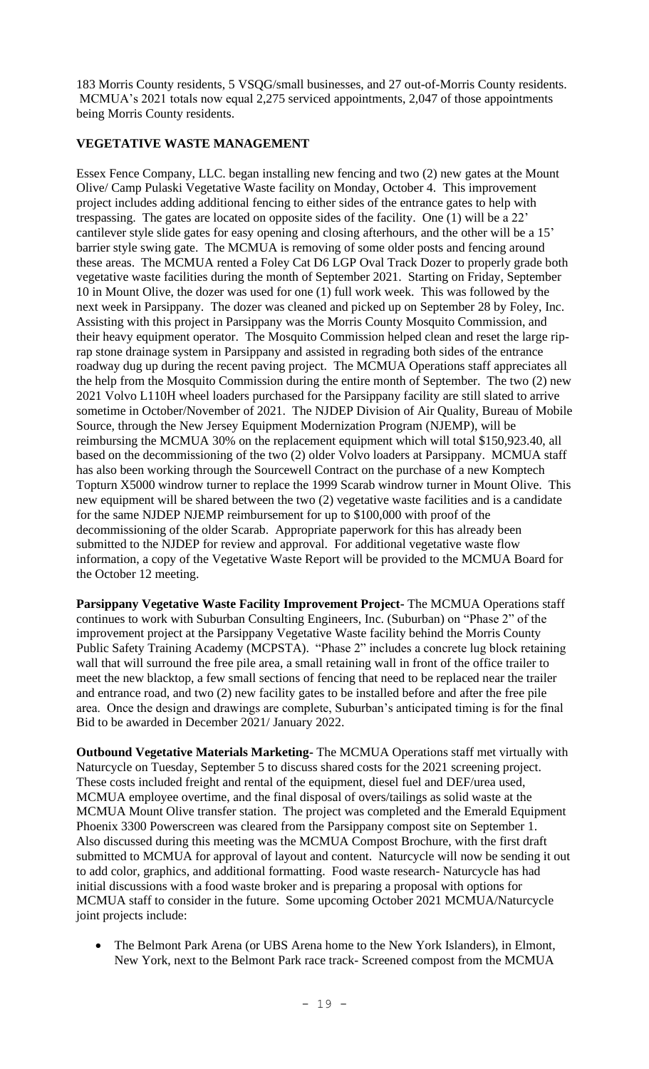183 Morris County residents, 5 VSQG/small businesses, and 27 out-of-Morris County residents. MCMUA's 2021 totals now equal 2,275 serviced appointments, 2,047 of those appointments being Morris County residents.

# **VEGETATIVE WASTE MANAGEMENT**

Essex Fence Company, LLC. began installing new fencing and two (2) new gates at the Mount Olive/ Camp Pulaski Vegetative Waste facility on Monday, October 4. This improvement project includes adding additional fencing to either sides of the entrance gates to help with trespassing. The gates are located on opposite sides of the facility. One (1) will be a 22' cantilever style slide gates for easy opening and closing afterhours, and the other will be a 15' barrier style swing gate. The MCMUA is removing of some older posts and fencing around these areas. The MCMUA rented a Foley Cat D6 LGP Oval Track Dozer to properly grade both vegetative waste facilities during the month of September 2021. Starting on Friday, September 10 in Mount Olive, the dozer was used for one (1) full work week. This was followed by the next week in Parsippany. The dozer was cleaned and picked up on September 28 by Foley, Inc. Assisting with this project in Parsippany was the Morris County Mosquito Commission, and their heavy equipment operator. The Mosquito Commission helped clean and reset the large riprap stone drainage system in Parsippany and assisted in regrading both sides of the entrance roadway dug up during the recent paving project. The MCMUA Operations staff appreciates all the help from the Mosquito Commission during the entire month of September. The two (2) new 2021 Volvo L110H wheel loaders purchased for the Parsippany facility are still slated to arrive sometime in October/November of 2021. The NJDEP Division of Air Quality, Bureau of Mobile Source, through the New Jersey Equipment Modernization Program (NJEMP), will be reimbursing the MCMUA 30% on the replacement equipment which will total \$150,923.40, all based on the decommissioning of the two (2) older Volvo loaders at Parsippany. MCMUA staff has also been working through the Sourcewell Contract on the purchase of a new Komptech Topturn X5000 windrow turner to replace the 1999 Scarab windrow turner in Mount Olive. This new equipment will be shared between the two (2) vegetative waste facilities and is a candidate for the same NJDEP NJEMP reimbursement for up to \$100,000 with proof of the decommissioning of the older Scarab. Appropriate paperwork for this has already been submitted to the NJDEP for review and approval. For additional vegetative waste flow information, a copy of the Vegetative Waste Report will be provided to the MCMUA Board for the October 12 meeting.

**Parsippany Vegetative Waste Facility Improvement Project-** The MCMUA Operations staff continues to work with Suburban Consulting Engineers, Inc. (Suburban) on "Phase 2" of the improvement project at the Parsippany Vegetative Waste facility behind the Morris County Public Safety Training Academy (MCPSTA). "Phase 2" includes a concrete lug block retaining wall that will surround the free pile area, a small retaining wall in front of the office trailer to meet the new blacktop, a few small sections of fencing that need to be replaced near the trailer and entrance road, and two (2) new facility gates to be installed before and after the free pile area. Once the design and drawings are complete, Suburban's anticipated timing is for the final Bid to be awarded in December 2021/ January 2022.

**Outbound Vegetative Materials Marketing-** The MCMUA Operations staff met virtually with Naturcycle on Tuesday, September 5 to discuss shared costs for the 2021 screening project. These costs included freight and rental of the equipment, diesel fuel and DEF/urea used, MCMUA employee overtime, and the final disposal of overs/tailings as solid waste at the MCMUA Mount Olive transfer station. The project was completed and the Emerald Equipment Phoenix 3300 Powerscreen was cleared from the Parsippany compost site on September 1. Also discussed during this meeting was the MCMUA Compost Brochure, with the first draft submitted to MCMUA for approval of layout and content. Naturcycle will now be sending it out to add color, graphics, and additional formatting. Food waste research- Naturcycle has had initial discussions with a food waste broker and is preparing a proposal with options for MCMUA staff to consider in the future. Some upcoming October 2021 MCMUA/Naturcycle joint projects include:

• The Belmont Park Arena (or UBS Arena home to the New York Islanders), in Elmont, New York, next to the Belmont Park race track- Screened compost from the MCMUA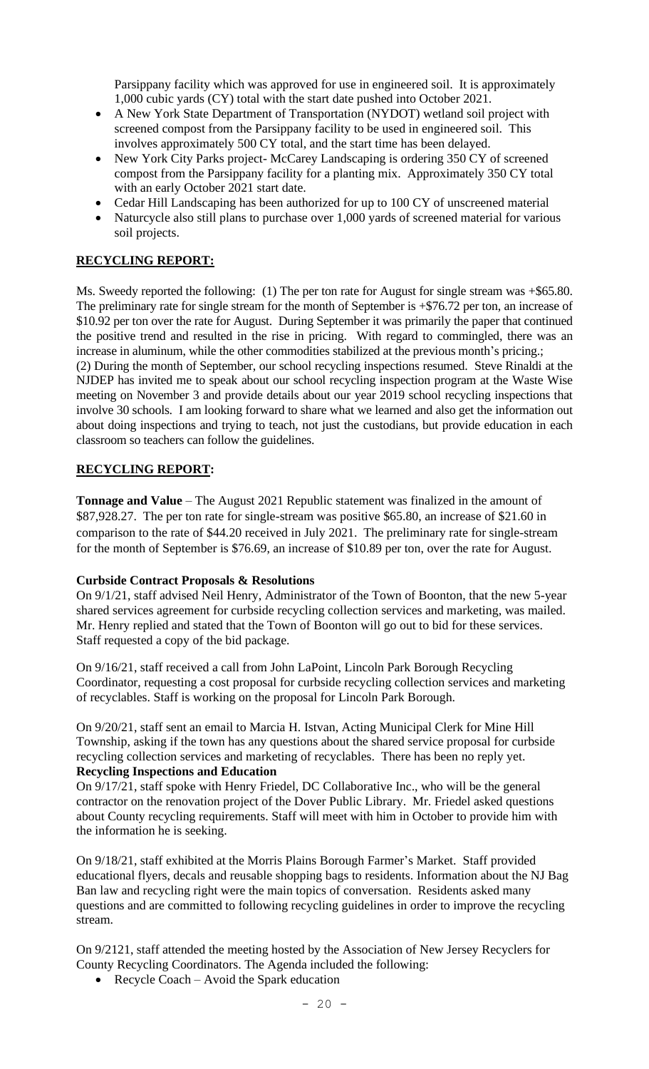Parsippany facility which was approved for use in engineered soil. It is approximately 1,000 cubic yards (CY) total with the start date pushed into October 2021.

- A New York State Department of Transportation (NYDOT) wetland soil project with screened compost from the Parsippany facility to be used in engineered soil. This involves approximately 500 CY total, and the start time has been delayed.
- New York City Parks project- McCarey Landscaping is ordering 350 CY of screened compost from the Parsippany facility for a planting mix. Approximately 350 CY total with an early October 2021 start date.
- Cedar Hill Landscaping has been authorized for up to 100 CY of unscreened material
- Naturcycle also still plans to purchase over 1,000 yards of screened material for various soil projects.

# **RECYCLING REPORT:**

Ms. Sweedy reported the following: (1) The per ton rate for August for single stream was +\$65.80. The preliminary rate for single stream for the month of September is +\$76.72 per ton, an increase of \$10.92 per ton over the rate for August. During September it was primarily the paper that continued the positive trend and resulted in the rise in pricing. With regard to commingled, there was an increase in aluminum, while the other commodities stabilized at the previous month's pricing.; (2) During the month of September, our school recycling inspections resumed. Steve Rinaldi at the NJDEP has invited me to speak about our school recycling inspection program at the Waste Wise meeting on November 3 and provide details about our year 2019 school recycling inspections that involve 30 schools. I am looking forward to share what we learned and also get the information out about doing inspections and trying to teach, not just the custodians, but provide education in each classroom so teachers can follow the guidelines.

# **RECYCLING REPORT:**

**Tonnage and Value** – The August 2021 Republic statement was finalized in the amount of \$87,928.27. The per ton rate for single-stream was positive \$65.80, an increase of \$21.60 in comparison to the rate of \$44.20 received in July 2021. The preliminary rate for single-stream for the month of September is \$76.69, an increase of \$10.89 per ton, over the rate for August.

## **Curbside Contract Proposals & Resolutions**

On 9/1/21, staff advised Neil Henry, Administrator of the Town of Boonton, that the new 5-year shared services agreement for curbside recycling collection services and marketing, was mailed. Mr. Henry replied and stated that the Town of Boonton will go out to bid for these services. Staff requested a copy of the bid package.

On 9/16/21, staff received a call from John LaPoint, Lincoln Park Borough Recycling Coordinator, requesting a cost proposal for curbside recycling collection services and marketing of recyclables. Staff is working on the proposal for Lincoln Park Borough.

On 9/20/21, staff sent an email to Marcia H. Istvan, Acting Municipal Clerk for Mine Hill Township, asking if the town has any questions about the shared service proposal for curbside recycling collection services and marketing of recyclables. There has been no reply yet. **Recycling Inspections and Education**

On 9/17/21, staff spoke with Henry Friedel, DC Collaborative Inc., who will be the general contractor on the renovation project of the Dover Public Library. Mr. Friedel asked questions about County recycling requirements. Staff will meet with him in October to provide him with the information he is seeking.

On 9/18/21, staff exhibited at the Morris Plains Borough Farmer's Market. Staff provided educational flyers, decals and reusable shopping bags to residents. Information about the NJ Bag Ban law and recycling right were the main topics of conversation. Residents asked many questions and are committed to following recycling guidelines in order to improve the recycling stream.

On 9/2121, staff attended the meeting hosted by the Association of New Jersey Recyclers for County Recycling Coordinators. The Agenda included the following:

• Recycle Coach – Avoid the Spark education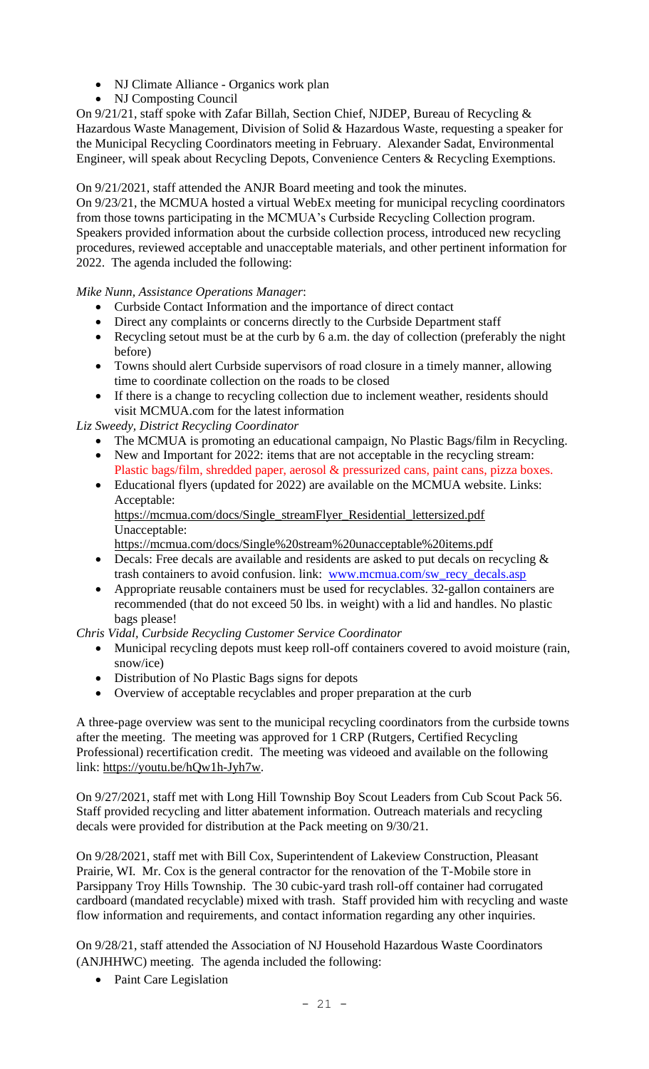- NJ Climate Alliance Organics work plan
- NJ Composting Council

On 9/21/21, staff spoke with Zafar Billah, Section Chief, NJDEP, Bureau of Recycling & Hazardous Waste Management, Division of Solid & Hazardous Waste, requesting a speaker for the Municipal Recycling Coordinators meeting in February. Alexander Sadat, Environmental Engineer, will speak about Recycling Depots, Convenience Centers & Recycling Exemptions.

On 9/21/2021, staff attended the ANJR Board meeting and took the minutes.

On 9/23/21, the MCMUA hosted a virtual WebEx meeting for municipal recycling coordinators from those towns participating in the MCMUA's Curbside Recycling Collection program. Speakers provided information about the curbside collection process, introduced new recycling procedures, reviewed acceptable and unacceptable materials, and other pertinent information for 2022. The agenda included the following:

*Mike Nunn, Assistance Operations Manager*:

- Curbside Contact Information and the importance of direct contact
- Direct any complaints or concerns directly to the Curbside Department staff
- Recycling setout must be at the curb by 6 a.m. the day of collection (preferably the night before)
- Towns should alert Curbside supervisors of road closure in a timely manner, allowing time to coordinate collection on the roads to be closed
- If there is a change to recycling collection due to inclement weather, residents should visit MCMUA.com for the latest information

*Liz Sweedy, District Recycling Coordinator*

- The MCMUA is promoting an educational campaign, No Plastic Bags/film in Recycling.
- New and Important for 2022: items that are not acceptable in the recycling stream: Plastic bags/film, shredded paper, aerosol & pressurized cans, paint cans, pizza boxes.
- Educational flyers (updated for 2022) are available on the MCMUA website. Links: Acceptable:

https://mcmua.com/docs/Single\_streamFlyer\_Residential\_lettersized.pdf Unacceptable:

https://mcmua.com/docs/Single%20stream%20unacceptable%20items.pdf

- Decals: Free decals are available and residents are asked to put decals on recycling  $\&$ trash containers to avoid confusion. link: www.mcmua.com/sw\_recy\_decals.asp
- Appropriate reusable containers must be used for recyclables. 32-gallon containers are recommended (that do not exceed 50 lbs. in weight) with a lid and handles. No plastic bags please!

## *Chris Vidal, Curbside Recycling Customer Service Coordinator*

- Municipal recycling depots must keep roll-off containers covered to avoid moisture (rain, snow/ice)
- Distribution of No Plastic Bags signs for depots
- Overview of acceptable recyclables and proper preparation at the curb

A three-page overview was sent to the municipal recycling coordinators from the curbside towns after the meeting. The meeting was approved for 1 CRP (Rutgers, Certified Recycling Professional) recertification credit. The meeting was videoed and available on the following link: https://youtu.be/hQw1h-Jyh7w.

On 9/27/2021, staff met with Long Hill Township Boy Scout Leaders from Cub Scout Pack 56. Staff provided recycling and litter abatement information. Outreach materials and recycling decals were provided for distribution at the Pack meeting on 9/30/21.

On 9/28/2021, staff met with Bill Cox, Superintendent of Lakeview Construction, Pleasant Prairie, WI. Mr. Cox is the general contractor for the renovation of the T-Mobile store in Parsippany Troy Hills Township. The 30 cubic-yard trash roll-off container had corrugated cardboard (mandated recyclable) mixed with trash. Staff provided him with recycling and waste flow information and requirements, and contact information regarding any other inquiries.

On 9/28/21, staff attended the Association of NJ Household Hazardous Waste Coordinators (ANJHHWC) meeting. The agenda included the following:

• Paint Care Legislation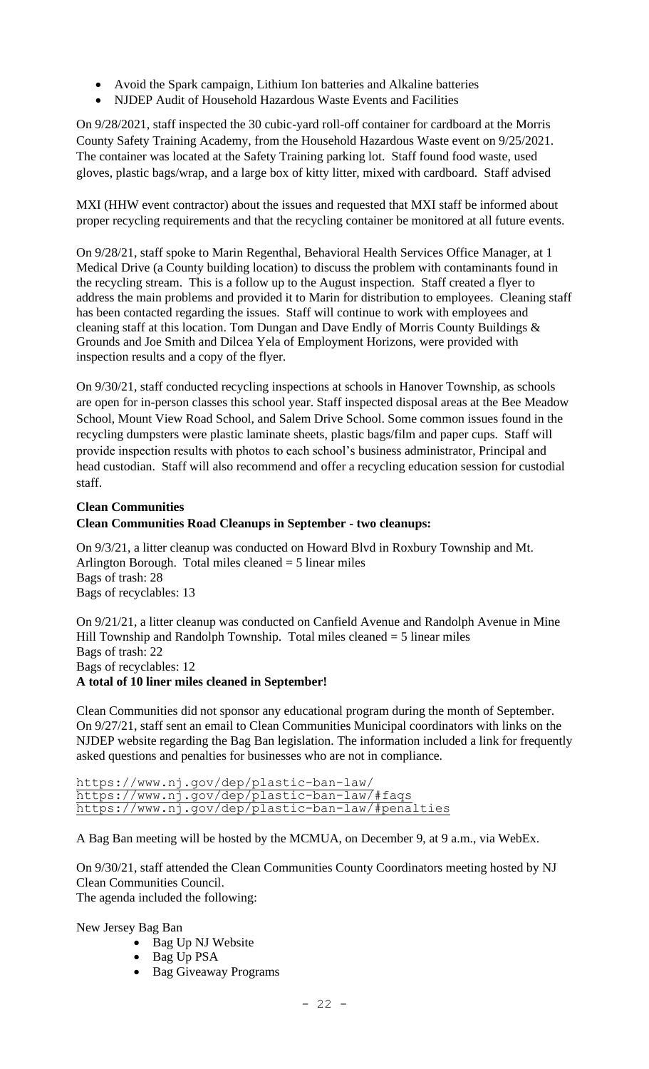- Avoid the Spark campaign, Lithium Ion batteries and Alkaline batteries
- NJDEP Audit of Household Hazardous Waste Events and Facilities

On 9/28/2021, staff inspected the 30 cubic-yard roll-off container for cardboard at the Morris County Safety Training Academy, from the Household Hazardous Waste event on 9/25/2021. The container was located at the Safety Training parking lot. Staff found food waste, used gloves, plastic bags/wrap, and a large box of kitty litter, mixed with cardboard. Staff advised

MXI (HHW event contractor) about the issues and requested that MXI staff be informed about proper recycling requirements and that the recycling container be monitored at all future events.

On 9/28/21, staff spoke to Marin Regenthal, Behavioral Health Services Office Manager, at 1 Medical Drive (a County building location) to discuss the problem with contaminants found in the recycling stream. This is a follow up to the August inspection. Staff created a flyer to address the main problems and provided it to Marin for distribution to employees. Cleaning staff has been contacted regarding the issues. Staff will continue to work with employees and cleaning staff at this location. Tom Dungan and Dave Endly of Morris County Buildings & Grounds and Joe Smith and Dilcea Yela of Employment Horizons, were provided with inspection results and a copy of the flyer.

On 9/30/21, staff conducted recycling inspections at schools in Hanover Township, as schools are open for in-person classes this school year. Staff inspected disposal areas at the Bee Meadow School, Mount View Road School, and Salem Drive School. Some common issues found in the recycling dumpsters were plastic laminate sheets, plastic bags/film and paper cups. Staff will provide inspection results with photos to each school's business administrator, Principal and head custodian. Staff will also recommend and offer a recycling education session for custodial staff.

# **Clean Communities**

# **Clean Communities Road Cleanups in September - two cleanups:**

On 9/3/21, a litter cleanup was conducted on Howard Blvd in Roxbury Township and Mt. Arlington Borough. Total miles cleaned  $=$  5 linear miles Bags of trash: 28 Bags of recyclables: 13

On 9/21/21, a litter cleanup was conducted on Canfield Avenue and Randolph Avenue in Mine Hill Township and Randolph Township. Total miles cleaned = 5 linear miles Bags of trash: 22 Bags of recyclables: 12 **A total of 10 liner miles cleaned in September!**

Clean Communities did not sponsor any educational program during the month of September. On 9/27/21, staff sent an email to Clean Communities Municipal coordinators with links on the NJDEP website regarding the Bag Ban legislation. The information included a link for frequently asked questions and penalties for businesses who are not in compliance.

https://www.nj.gov/dep/plastic-ban-law/ https://www.nj.gov/dep/plastic-ban-law/#faqs https://www.nj.gov/dep/plastic-ban-law/#penalties

A Bag Ban meeting will be hosted by the MCMUA, on December 9, at 9 a.m., via WebEx.

On 9/30/21, staff attended the Clean Communities County Coordinators meeting hosted by NJ Clean Communities Council. The agenda included the following:

New Jersey Bag Ban

- Bag Up NJ Website
- Bag Up PSA
- Bag Giveaway Programs